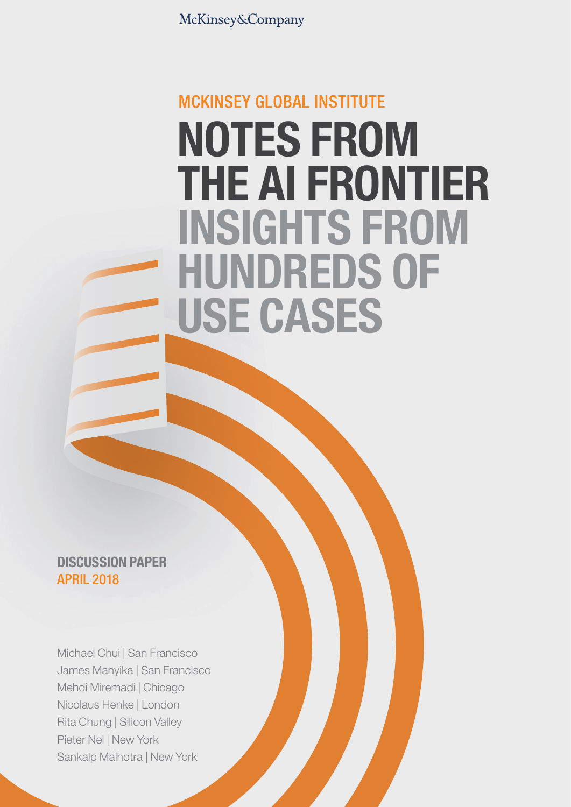McKinsey&Company

# **MCKINSEY GLOBAL INSTITUTE** NOTES FROM THE AI FRONTIER INSIGHTS FROM HUNDREDS OF USE CASES

DISCUSSION PAPER APRIL 2018

Michael Chui | San Francisco James Manyika | San Francisco Mehdi Miremadi | Chicago Nicolaus Henke | London Rita Chung | Silicon Valley Pieter Nel | New York Sankalp Malhotra | New York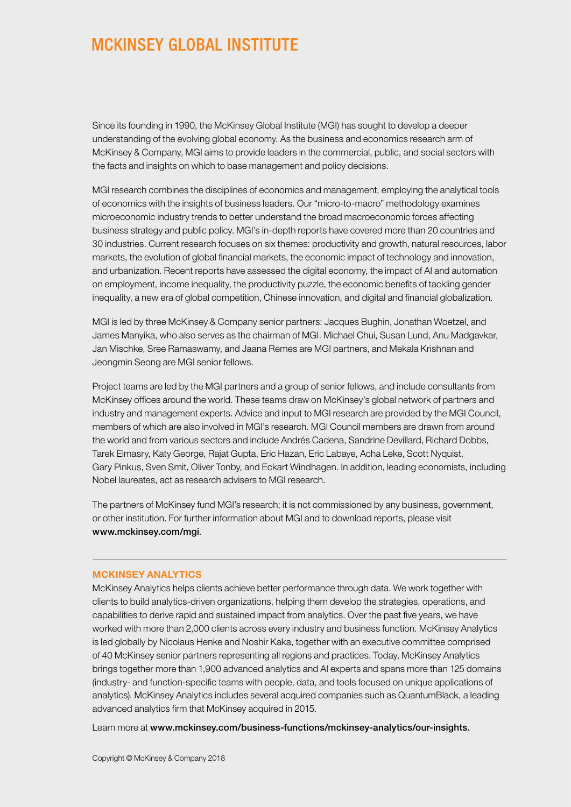# **MCKINSEY GLOBAL INSTITUTE**

Since its founding in 1990, the McKinsey Global Institute (MGI) has sought to develop a deeper understanding of the evolving global economy. As the business and economics research arm of McKinsey & Company, MGI aims to provide leaders in the commercial, public, and social sectors with the facts and insights on which to base management and policy decisions.

MGI research combines the disciplines of economics and management, employing the analytical tools of economics with the insights of business leaders. Our "micro-to-macro" methodology examines microeconomic industry trends to better understand the broad macroeconomic forces affecting business strategy and public policy. MGI's in-depth reports have covered more than 20 countries and 30 industries. Current research focuses on six themes: productivity and growth, natural resources, labor markets, the evolution of global financial markets, the economic impact of technology and innovation, and urbanization. Recent reports have assessed the digital economy, the impact of AI and automation on employment, income inequality, the productivity puzzle, the economic benefits of tackling gender inequality, a new era of global competition, Chinese innovation, and digital and financial globalization.

MGI is led by three McKinsey & Company senior partners: Jacques Bughin, Jonathan Woetzel, and James Manyika, who also serves as the chairman of MGI. Michael Chui, Susan Lund, Anu Madgavkar, Jan Mischke, Sree Ramaswamy, and Jaana Remes are MGI partners, and Mekala Krishnan and Jeongmin Seong are MGI senior fellows.

Project teams are led by the MGI partners and a group of senior fellows, and include consultants from McKinsey offices around the world. These teams draw on McKinsey's global network of partners and industry and management experts. Advice and input to MGI research are provided by the MGI Council, members of which are also involved in MGI's research. MGI Council members are drawn from around the world and from various sectors and include Andrés Cadena, Sandrine Devillard, Richard Dobbs, Tarek Elmasry, Katy George, Rajat Gupta, Eric Hazan, Eric Labaye, Acha Leke, Scott Nyquist, Gary Pinkus, Sven Smit, Oliver Tonby, and Eckart Windhagen. In addition, leading economists, including Nobel laureates, act as research advisers to MGI research.

The partners of McKinsey fund MGI's research; it is not commissioned by any business, government, or other institution. For further information about MGI and to download reports, please visit [www.mckinsey.com/mgi](http://www.mckinsey.com/mgi).

#### MCKINSEY ANALYTICS

McKinsey Analytics helps clients achieve better performance through data. We work together with clients to build analytics-driven organizations, helping them develop the strategies, operations, and capabilities to derive rapid and sustained impact from analytics. Over the past five years, we have worked with more than 2,000 clients across every industry and business function. McKinsey Analytics is led globally by Nicolaus Henke and Noshir Kaka, together with an executive committee comprised of 40 McKinsey senior partners representing all regions and practices. Today, McKinsey Analytics brings together more than 1,900 advanced analytics and AI experts and spans more than 125 domains (industry- and function-specific teams with people, data, and tools focused on unique applications of analytics). McKinsey Analytics includes several acquired companies such as QuantumBlack, a leading advanced analytics firm that McKinsey acquired in 2015.

Learn more at www.mckinsey.com/business-functions/mckinsey-analytics/our-insights.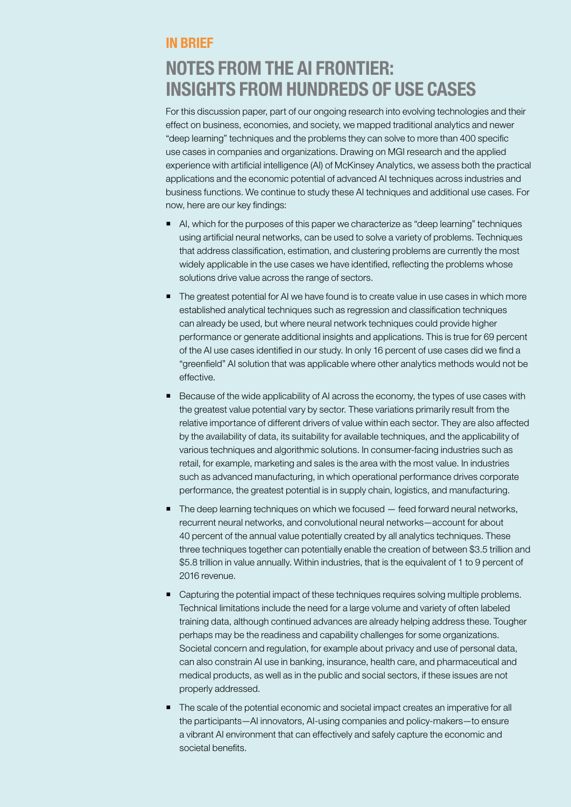# IN BRIEF NOTES FROM THE AI FRONTIER: INSIGHTS FROM HUNDREDS OF USE CASES

For this discussion paper, part of our ongoing research into evolving technologies and their effect on business, economies, and society, we mapped traditional analytics and newer "deep learning" techniques and the problems they can solve to more than 400 specific use cases in companies and organizations. Drawing on MGI research and the applied experience with artificial intelligence (AI) of McKinsey Analytics, we assess both the practical applications and the economic potential of advanced AI techniques across industries and business functions. We continue to study these AI techniques and additional use cases. For now, here are our key findings:

- AI, which for the purposes of this paper we characterize as "deep learning" techniques using artificial neural networks, can be used to solve a variety of problems. Techniques that address classification, estimation, and clustering problems are currently the most widely applicable in the use cases we have identified, reflecting the problems whose solutions drive value across the range of sectors.
- The greatest potential for AI we have found is to create value in use cases in which more established analytical techniques such as regression and classification techniques can already be used, but where neural network techniques could provide higher performance or generate additional insights and applications. This is true for 69 percent of the AI use cases identified in our study. In only 16 percent of use cases did we find a "greenfield" AI solution that was applicable where other analytics methods would not be effective.
- Because of the wide applicability of AI across the economy, the types of use cases with the greatest value potential vary by sector. These variations primarily result from the relative importance of different drivers of value within each sector. They are also affected by the availability of data, its suitability for available techniques, and the applicability of various techniques and algorithmic solutions. In consumer-facing industries such as retail, for example, marketing and sales is the area with the most value. In industries such as advanced manufacturing, in which operational performance drives corporate performance, the greatest potential is in supply chain, logistics, and manufacturing.
- $\blacksquare$  The deep learning techniques on which we focused  $-$  feed forward neural networks, recurrent neural networks, and convolutional neural networks—account for about 40 percent of the annual value potentially created by all analytics techniques. These three techniques together can potentially enable the creation of between \$3.5 trillion and \$5.8 trillion in value annually. Within industries, that is the equivalent of 1 to 9 percent of 2016 revenue.
- Capturing the potential impact of these techniques requires solving multiple problems. Technical limitations include the need for a large volume and variety of often labeled training data, although continued advances are already helping address these. Tougher perhaps may be the readiness and capability challenges for some organizations. Societal concern and regulation, for example about privacy and use of personal data, can also constrain AI use in banking, insurance, health care, and pharmaceutical and medical products, as well as in the public and social sectors, if these issues are not properly addressed.
- The scale of the potential economic and societal impact creates an imperative for all the participants—AI innovators, AI-using companies and policy-makers—to ensure a vibrant AI environment that can effectively and safely capture the economic and societal benefits.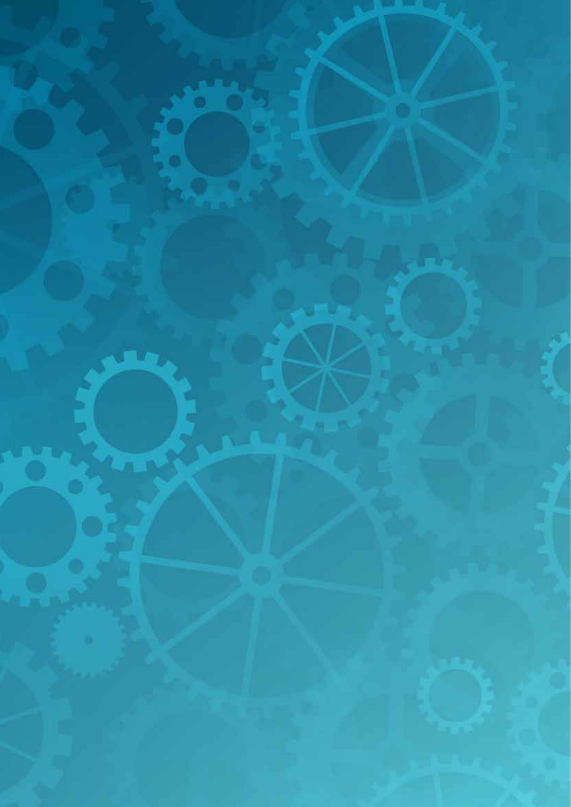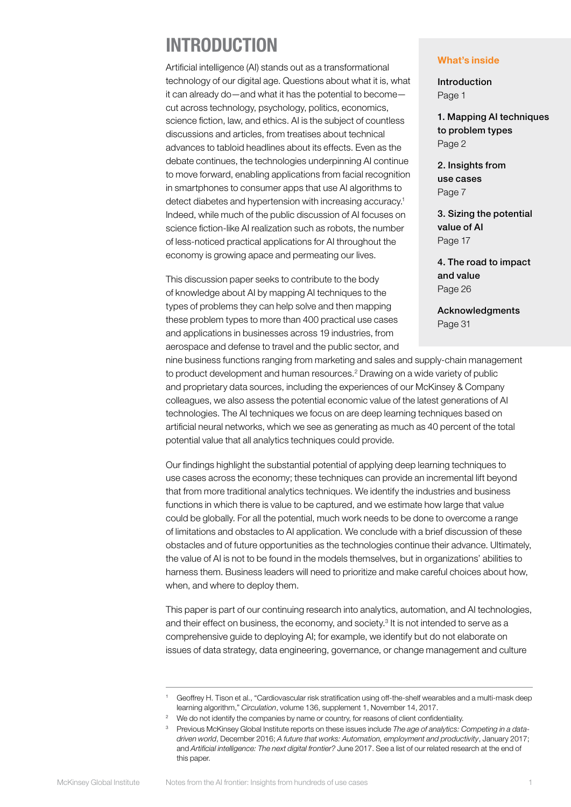# <span id="page-4-0"></span>INTRODUCTION

Artificial intelligence (AI) stands out as a transformational technology of our digital age. Questions about what it is, what it can already do—and what it has the potential to become cut across technology, psychology, politics, economics, science fiction, law, and ethics. AI is the subject of countless discussions and articles, from treatises about technical advances to tabloid headlines about its effects. Even as the debate continues, the technologies underpinning AI continue to move forward, enabling applications from facial recognition in smartphones to consumer apps that use AI algorithms to detect diabetes and hypertension with increasing accuracy.<sup>1</sup> Indeed, while much of the public discussion of AI focuses on science fiction-like AI realization such as robots, the number of less-noticed practical applications for AI throughout the economy is growing apace and permeating our lives.

This discussion paper seeks to contribute to the body of knowledge about AI by mapping AI techniques to the types of problems they can help solve and then mapping these problem types to more than 400 practical use cases and applications in businesses across 19 industries, from aerospace and defense to travel and the public sector, and

### What's inside

[Introduction](#page-4-0) [Page 1](#page-4-0)

[1. Mapping AI techniques](#page-5-0)  [to problem types](#page-5-0) [Page 2](#page-5-0)

[2. Insights from](#page-10-0)  [use cases](#page-10-0) [Page 7](#page-10-0)

[3. Sizing the potential](#page-20-0)  [value of AI](#page-20-0) [Page 17](#page-20-0)

[4. The road to impact](#page-29-0)  [and value](#page-29-0) [Page 26](#page-29-0)

[Acknowledgments](#page-34-0) [Page 31](#page-34-0)

nine business functions ranging from marketing and sales and supply-chain management to product development and human resources.<sup>2</sup> Drawing on a wide variety of public and proprietary data sources, including the experiences of our McKinsey & Company colleagues, we also assess the potential economic value of the latest generations of AI technologies. The AI techniques we focus on are deep learning techniques based on artificial neural networks, which we see as generating as much as 40 percent of the total potential value that all analytics techniques could provide.

Our findings highlight the substantial potential of applying deep learning techniques to use cases across the economy; these techniques can provide an incremental lift beyond that from more traditional analytics techniques. We identify the industries and business functions in which there is value to be captured, and we estimate how large that value could be globally. For all the potential, much work needs to be done to overcome a range of limitations and obstacles to AI application. We conclude with a brief discussion of these obstacles and of future opportunities as the technologies continue their advance. Ultimately, the value of AI is not to be found in the models themselves, but in organizations' abilities to harness them. Business leaders will need to prioritize and make careful choices about how, when, and where to deploy them.

This paper is part of our continuing research into analytics, automation, and AI technologies, and their effect on business, the economy, and society.<sup>3</sup> It is not intended to serve as a comprehensive guide to deploying AI; for example, we identify but do not elaborate on issues of data strategy, data engineering, governance, or change management and culture

Geoffrey H. Tison et al., "Cardiovascular risk stratification using off-the-shelf wearables and a multi-mask deep learning algorithm," *Circulation*, volume 136, supplement 1, November 14, 2017.

<sup>&</sup>lt;sup>2</sup> We do not identify the companies by name or country, for reasons of client confidentiality.

<sup>3</sup> Previous McKinsey Global Institute reports on these issues include *The age of analytics: Competing in a datadriven world*, December 2016; *A future that works: Automation, employment and productivity*, January 2017; and *Artificial intelligence: The next digital frontier?* June 2017. See a list of our related research at the end of this paper.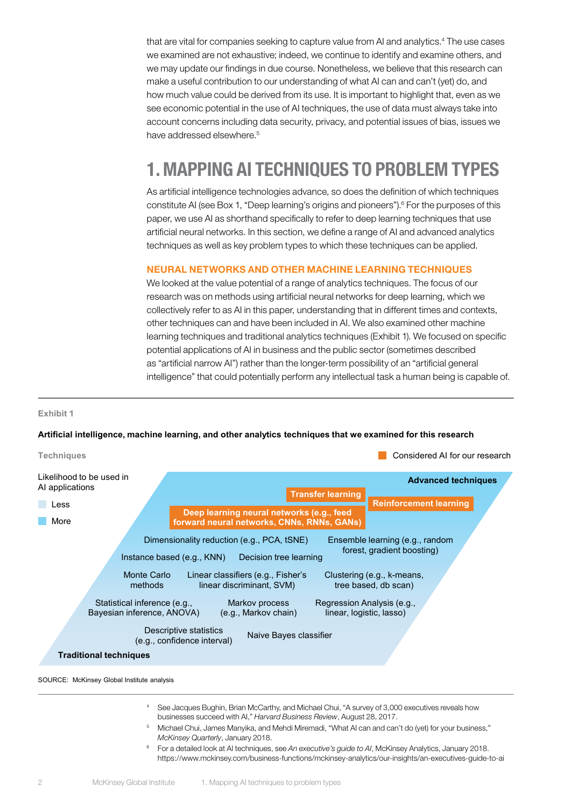that are vital for companies seeking to capture value from AI and analytics.4 The use cases we examined are not exhaustive; indeed, we continue to identify and examine others, and we may update our findings in due course. Nonetheless, we believe that this research can make a useful contribution to our understanding of what AI can and can't (yet) do, and how much value could be derived from its use. It is important to highlight that, even as we see economic potential in the use of AI techniques, the use of data must always take into account concerns including data security, privacy, and potential issues of bias, issues we have addressed elsewhere.<sup>5</sup>

# <span id="page-5-0"></span>1. MAPPING AI TECHNIQUES TO PROBLEM TYPES

As artificial intelligence technologies advance, so does the definition of which techniques constitute AI (see Box 1, "Deep learning's origins and pioneers").<sup>6</sup> For the purposes of this paper, we use AI as shorthand specifically to refer to deep learning techniques that use artificial neural networks. In this section, we define a range of AI and advanced analytics techniques as well as key problem types to which these techniques can be applied.

#### NEURAL NETWORKS AND OTHER MACHINE LEARNING TECHNIQUES

We looked at the value potential of a range of analytics techniques. The focus of our research was on methods using artificial neural networks for deep learning, which we collectively refer to as AI in this paper, understanding that in different times and contexts, other techniques can and have been included in AI. We also examined other machine learning techniques and traditional analytics techniques (Exhibit 1). We focused on specific potential applications of AI in business and the public sector (sometimes described as "artificial narrow AI") rather than the longer-term possibility of an "artificial general intelligence" that could potentially perform any intellectual task a human being is capable of.

#### **Exhibit 1**

#### **Artificial intelligence, machine learning, and other analytics techniques that we examined for this research**

#### **Techniques**

**Considered AI for our research** 

| Likelihood to be used in<br>AI applications | <b>Advanced techniques</b><br><b>Transfer learning</b>                                                                                                                                                                                                                                                                 |
|---------------------------------------------|------------------------------------------------------------------------------------------------------------------------------------------------------------------------------------------------------------------------------------------------------------------------------------------------------------------------|
| Less                                        | <b>Reinforcement learning</b><br>Deep learning neural networks (e.g., feed                                                                                                                                                                                                                                             |
| More                                        | forward neural networks, CNNs, RNNs, GANs)                                                                                                                                                                                                                                                                             |
|                                             | Dimensionality reduction (e.g., PCA, tSNE)<br>Ensemble learning (e.g., random<br>forest, gradient boosting)<br>Decision tree learning<br>Instance based (e.g., KNN)<br>Linear classifiers (e.g., Fisher's<br>Monte Carlo<br>Clustering (e.g., k-means,<br>methods<br>linear discriminant, SVM)<br>tree based, db scan) |
|                                             | Statistical inference (e.g.,<br>Regression Analysis (e.g.,<br>Markov process<br>Bayesian inference, ANOVA)<br>(e.g., Markov chain)<br>linear, logistic, lasso)<br>Descriptive statistics<br>Naive Bayes classifier<br>(e.g., confidence interval)                                                                      |
|                                             | <b>Traditional techniques</b>                                                                                                                                                                                                                                                                                          |
|                                             |                                                                                                                                                                                                                                                                                                                        |

- <sup>4</sup> See Jacques Bughin, Brian McCarthy, and Michael Chui, "A survey of 3,000 executives reveals how businesses succeed with AI," *Harvard Business Review*, August 28, 2017.
- <sup>5</sup> Michael Chui, James Manyika, and Mehdi Miremadi, "What AI can and can't do (yet) for your business," *McKinsey Quarterly*, January 2018.
- <sup>6</sup> For a detailed look at AI techniques, see *An executive's guide to AI*, McKinsey Analytics, January 2018. https://www.mckinsey.com/business-functions/mckinsey-analytics/our-insights/an-executives-guide-to-ai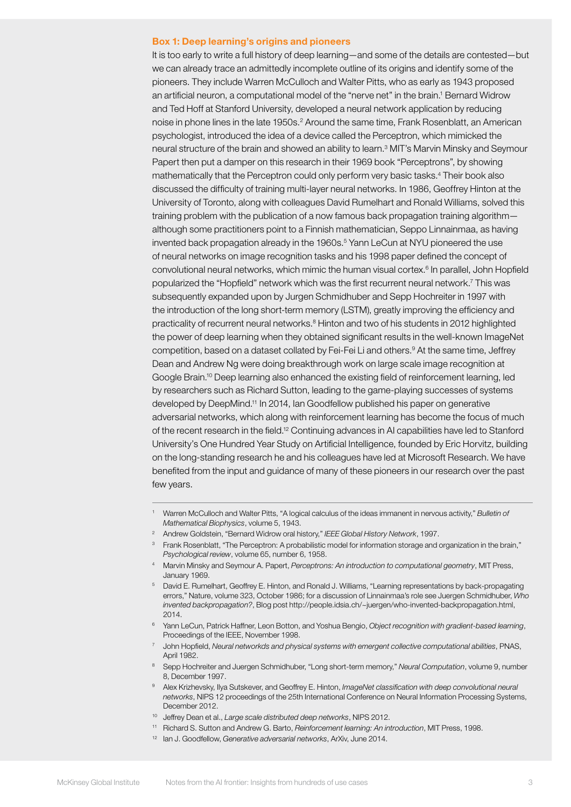#### Box 1: Deep learning's origins and pioneers

It is too early to write a full history of deep learning—and some of the details are contested—but we can already trace an admittedly incomplete outline of its origins and identify some of the pioneers. They include Warren McCulloch and Walter Pitts, who as early as 1943 proposed an artificial neuron, a computational model of the "nerve net" in the brain.<sup>1</sup> Bernard Widrow and Ted Hoff at Stanford University, developed a neural network application by reducing noise in phone lines in the late 1950s.<sup>2</sup> Around the same time, Frank Rosenblatt, an American psychologist, introduced the idea of a device called the Perceptron, which mimicked the neural structure of the brain and showed an ability to learn.<sup>3</sup> MIT's Marvin Minsky and Seymour Papert then put a damper on this research in their 1969 book "Perceptrons", by showing mathematically that the Perceptron could only perform very basic tasks.4 Their book also discussed the difficulty of training multi-layer neural networks. In 1986, Geoffrey Hinton at the University of Toronto, along with colleagues David Rumelhart and Ronald Williams, solved this training problem with the publication of a now famous back propagation training algorithm although some practitioners point to a Finnish mathematician, Seppo Linnainmaa, as having invented back propagation already in the 1960s.<sup>5</sup> Yann LeCun at NYU pioneered the use of neural networks on image recognition tasks and his 1998 paper defined the concept of convolutional neural networks, which mimic the human visual cortex.<sup>6</sup> In parallel, John Hopfield popularized the "Hopfield" network which was the first recurrent neural network.7 This was subsequently expanded upon by Jurgen Schmidhuber and Sepp Hochreiter in 1997 with the introduction of the long short-term memory (LSTM), greatly improving the efficiency and practicality of recurrent neural networks.<sup>8</sup> Hinton and two of his students in 2012 highlighted the power of deep learning when they obtained significant results in the well-known ImageNet competition, based on a dataset collated by Fei-Fei Li and others.<sup>9</sup> At the same time, Jeffrey Dean and Andrew Ng were doing breakthrough work on large scale image recognition at Google Brain.<sup>10</sup> Deep learning also enhanced the existing field of reinforcement learning, led by researchers such as Richard Sutton, leading to the game-playing successes of systems developed by DeepMind.<sup>11</sup> In 2014, Ian Goodfellow published his paper on generative adversarial networks, which along with reinforcement learning has become the focus of much of the recent research in the field.<sup>12</sup> Continuing advances in AI capabilities have led to Stanford University's One Hundred Year Study on Artificial Intelligence, founded by Eric Horvitz, building on the long-standing research he and his colleagues have led at Microsoft Research. We have benefited from the input and guidance of many of these pioneers in our research over the past few years.

<sup>12</sup> Ian J. Goodfellow, *Generative adversarial networks*, ArXiv, June 2014.

<sup>1</sup> Warren McCulloch and Walter Pitts, "A logical calculus of the ideas immanent in nervous activity," *Bulletin of Mathematical Biophysics*, volume 5, 1943.

<sup>2</sup> Andrew Goldstein, "Bernard Widrow oral history," *IEEE Global History Network*, 1997.

<sup>&</sup>lt;sup>3</sup> Frank Rosenblatt, "The Perceptron: A probabilistic model for information storage and organization in the brain," *Psychological review*, volume 65, number 6, 1958.

<sup>4</sup> Marvin Minsky and Seymour A. Papert, *Perceptrons: An introduction to computational geometry*, MIT Press, January 1969.

<sup>5</sup> David E. Rumelhart, Geoffrey E. Hinton, and Ronald J. Williams, "Learning representations by back-propagating errors," Nature, volume 323, October 1986; for a discussion of Linnainmaa's role see Juergen Schmidhuber, *Who invented backpropagation?*, Blog post<http://people.idsia.ch/~juergen/who-invented-backpropagation.html>, 2014.

<sup>6</sup> Yann LeCun, Patrick Haffner, Leon Botton, and Yoshua Bengio, *Object recognition with gradient-based learning*, Proceedings of the IEEE, November 1998.

<sup>7</sup> John Hopfield, *Neural networkds and physical systems with emergent collective computational abilities*, PNAS, April 1982.

<sup>8</sup> Sepp Hochreiter and Juergen Schmidhuber, "Long short-term memory," *Neural Computation*, volume 9, number 8, December 1997.

<sup>9</sup> Alex Krizhevsky, Ilya Sutskever, and Geoffrey E. Hinton, *ImageNet classification with deep convolutional neural networks*, NIPS 12 proceedings of the 25th International Conference on Neural Information Processing Systems, December 2012.

<sup>10</sup> Jeffrey Dean et al., *Large scale distributed deep networks*, NIPS 2012.

<sup>11</sup> Richard S. Sutton and Andrew G. Barto, *Reinforcement learning: An introduction*, MIT Press, 1998.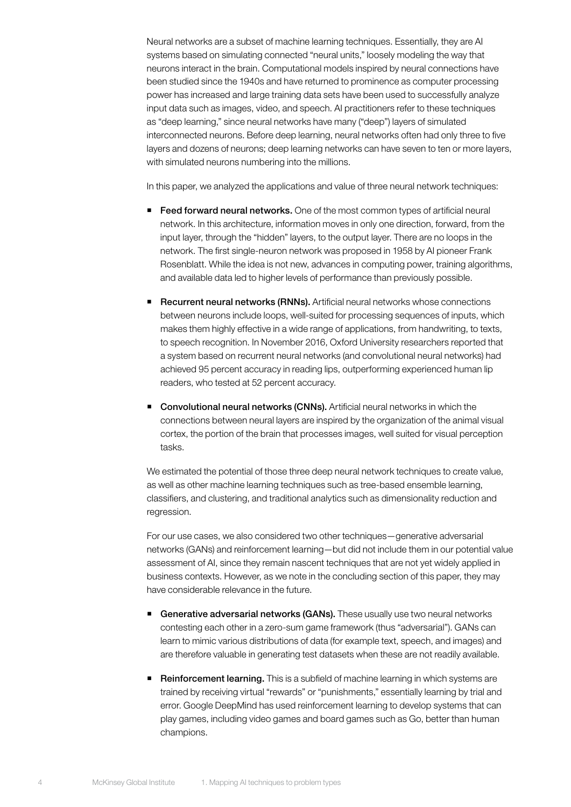Neural networks are a subset of machine learning techniques. Essentially, they are AI systems based on simulating connected "neural units," loosely modeling the way that neurons interact in the brain. Computational models inspired by neural connections have been studied since the 1940s and have returned to prominence as computer processing power has increased and large training data sets have been used to successfully analyze input data such as images, video, and speech. AI practitioners refer to these techniques as "deep learning," since neural networks have many ("deep") layers of simulated interconnected neurons. Before deep learning, neural networks often had only three to five layers and dozens of neurons; deep learning networks can have seven to ten or more layers, with simulated neurons numbering into the millions.

In this paper, we analyzed the applications and value of three neural network techniques:

- Feed forward neural networks. One of the most common types of artificial neural network. In this architecture, information moves in only one direction, forward, from the input layer, through the "hidden" layers, to the output layer. There are no loops in the network. The first single-neuron network was proposed in 1958 by AI pioneer Frank Rosenblatt. While the idea is not new, advances in computing power, training algorithms, and available data led to higher levels of performance than previously possible.
- **Recurrent neural networks (RNNs).** Artificial neural networks whose connections between neurons include loops, well-suited for processing sequences of inputs, which makes them highly effective in a wide range of applications, from handwriting, to texts, to speech recognition. In November 2016, Oxford University researchers reported that a system based on recurrent neural networks (and convolutional neural networks) had achieved 95 percent accuracy in reading lips, outperforming experienced human lip readers, who tested at 52 percent accuracy.
- **Convolutional neural networks (CNNs).** Artificial neural networks in which the connections between neural layers are inspired by the organization of the animal visual cortex, the portion of the brain that processes images, well suited for visual perception tasks.

We estimated the potential of those three deep neural network techniques to create value, as well as other machine learning techniques such as tree-based ensemble learning, classifiers, and clustering, and traditional analytics such as dimensionality reduction and regression.

For our use cases, we also considered two other techniques—generative adversarial networks (GANs) and reinforcement learning—but did not include them in our potential value assessment of AI, since they remain nascent techniques that are not yet widely applied in business contexts. However, as we note in the concluding section of this paper, they may have considerable relevance in the future.

- **Generative adversarial networks (GANs).** These usually use two neural networks contesting each other in a zero-sum game framework (thus "adversarial"). GANs can learn to mimic various distributions of data (for example text, speech, and images) and are therefore valuable in generating test datasets when these are not readily available.
- **Reinforcement learning.** This is a subfield of machine learning in which systems are trained by receiving virtual "rewards" or "punishments," essentially learning by trial and error. Google DeepMind has used reinforcement learning to develop systems that can play games, including video games and board games such as Go, better than human champions.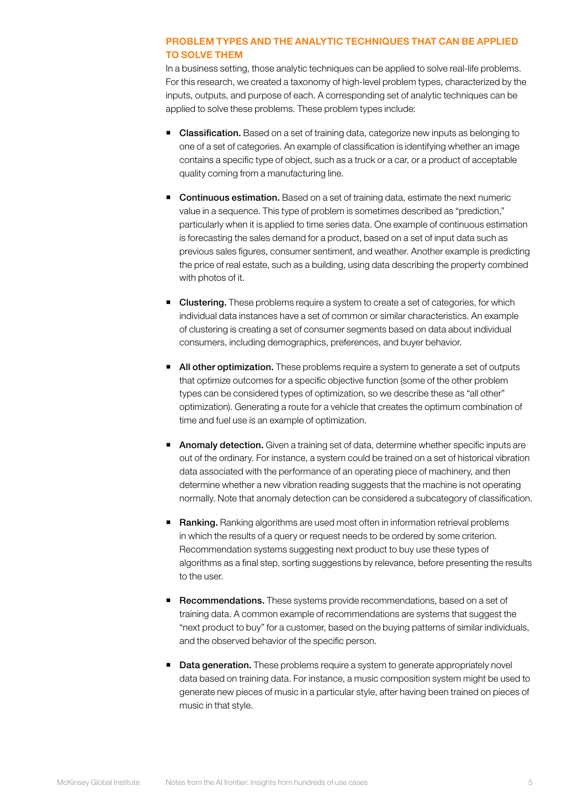# PROBLEM TYPES AND THE ANALYTIC TECHNIQUES THAT CAN BE APPLIED TO SOLVE THEM

In a business setting, those analytic techniques can be applied to solve real-life problems. For this research, we created a taxonomy of high-level problem types, characterized by the inputs, outputs, and purpose of each. A corresponding set of analytic techniques can be applied to solve these problems. These problem types include:

- **Classification.** Based on a set of training data, categorize new inputs as belonging to one of a set of categories. An example of classification is identifying whether an image contains a specific type of object, such as a truck or a car, or a product of acceptable quality coming from a manufacturing line.
- **Continuous estimation.** Based on a set of training data, estimate the next numeric value in a sequence. This type of problem is sometimes described as "prediction," particularly when it is applied to time series data. One example of continuous estimation is forecasting the sales demand for a product, based on a set of input data such as previous sales figures, consumer sentiment, and weather. Another example is predicting the price of real estate, such as a building, using data describing the property combined with photos of it.
- **Clustering.** These problems require a system to create a set of categories, for which individual data instances have a set of common or similar characteristics. An example of clustering is creating a set of consumer segments based on data about individual consumers, including demographics, preferences, and buyer behavior.
- All other optimization. These problems require a system to generate a set of outputs that optimize outcomes for a specific objective function (some of the other problem types can be considered types of optimization, so we describe these as "all other" optimization). Generating a route for a vehicle that creates the optimum combination of time and fuel use is an example of optimization.
- **Anomaly detection.** Given a training set of data, determine whether specific inputs are out of the ordinary. For instance, a system could be trained on a set of historical vibration data associated with the performance of an operating piece of machinery, and then determine whether a new vibration reading suggests that the machine is not operating normally. Note that anomaly detection can be considered a subcategory of classification.
- **Ranking.** Ranking algorithms are used most often in information retrieval problems in which the results of a query or request needs to be ordered by some criterion. Recommendation systems suggesting next product to buy use these types of algorithms as a final step, sorting suggestions by relevance, before presenting the results to the user.
- **Recommendations.** These systems provide recommendations, based on a set of training data. A common example of recommendations are systems that suggest the "next product to buy" for a customer, based on the buying patterns of similar individuals, and the observed behavior of the specific person.
- Data generation. These problems require a system to generate appropriately novel data based on training data. For instance, a music composition system might be used to generate new pieces of music in a particular style, after having been trained on pieces of music in that style.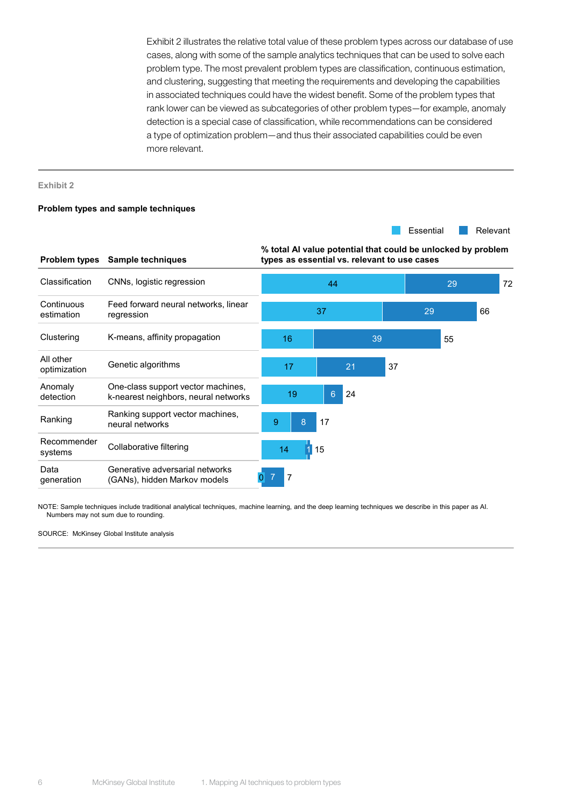Exhibit 2 illustrates the relative total value of these problem types across our database of use cases, along with some of the sample analytics techniques that can be used to solve each problem type. The most prevalent problem types are classification, continuous estimation, and clustering, suggesting that meeting the requirements and developing the capabilities in associated techniques could have the widest benefit. Some of the problem types that rank lower can be viewed as subcategories of other problem types—for example, anomaly detection is a special case of classification, while recommendations can be considered a type of optimization problem—and thus their associated capabilities could be even more relevant.

Essential **Relevant** 

#### **Exhibit 2**

#### **Problem types and sample techniques**

**Problem types Sample techniques % total AI value potential that could be unlocked by problem types as essential vs. relevant to use cases** Classification CNNs, logistic regression **Continuous** estimation Feed forward neural networks, linear regression Clustering K-means, affinity propagation All other All other<br>optimization Genetic algorithms Anomaly detection One-class support vector machines, k-nearest neighbors, neural networks Ranking Ranking support vector machines, neural networks Recommender Recommender Collaborative filtering<br>systems Data generation Generative adversarial networks (GANs), hidden Markov models 44 37 16 17 19 9 14 29 29 39 21 6 8 7 7  $15$  $\boldsymbol{0}$ 72 17 66 24 37 55

NOTE: Sample techniques include traditional analytical techniques, machine learning, and the deep learning techniques we describe in this paper as AI. Numbers may not sum due to rounding.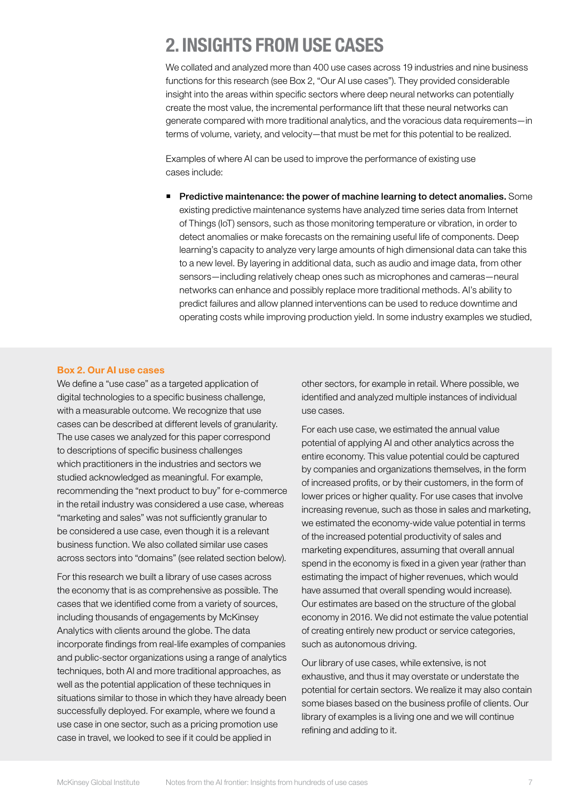# <span id="page-10-0"></span>2. INSIGHTS FROM USE CASES

We collated and analyzed more than 400 use cases across 19 industries and nine business functions for this research (see Box 2, "Our AI use cases"). They provided considerable insight into the areas within specific sectors where deep neural networks can potentially create the most value, the incremental performance lift that these neural networks can generate compared with more traditional analytics, and the voracious data requirements—in terms of volume, variety, and velocity—that must be met for this potential to be realized.

Examples of where AI can be used to improve the performance of existing use cases include:

**Predictive maintenance: the power of machine learning to detect anomalies.** Some existing predictive maintenance systems have analyzed time series data from Internet of Things (IoT) sensors, such as those monitoring temperature or vibration, in order to detect anomalies or make forecasts on the remaining useful life of components. Deep learning's capacity to analyze very large amounts of high dimensional data can take this to a new level. By layering in additional data, such as audio and image data, from other sensors—including relatively cheap ones such as microphones and cameras—neural networks can enhance and possibly replace more traditional methods. AI's ability to predict failures and allow planned interventions can be used to reduce downtime and operating costs while improving production yield. In some industry examples we studied,

#### Box 2. Our AI use cases

We define a "use case" as a targeted application of digital technologies to a specific business challenge, with a measurable outcome. We recognize that use cases can be described at different levels of granularity. The use cases we analyzed for this paper correspond to descriptions of specific business challenges which practitioners in the industries and sectors we studied acknowledged as meaningful. For example, recommending the "next product to buy" for e-commerce in the retail industry was considered a use case, whereas "marketing and sales" was not sufficiently granular to be considered a use case, even though it is a relevant business function. We also collated similar use cases across sectors into "domains" (see related section below).

For this research we built a library of use cases across the economy that is as comprehensive as possible. The cases that we identified come from a variety of sources, including thousands of engagements by McKinsey Analytics with clients around the globe. The data incorporate findings from real-life examples of companies and public-sector organizations using a range of analytics techniques, both AI and more traditional approaches, as well as the potential application of these techniques in situations similar to those in which they have already been successfully deployed. For example, where we found a use case in one sector, such as a pricing promotion use case in travel, we looked to see if it could be applied in

other sectors, for example in retail. Where possible, we identified and analyzed multiple instances of individual use cases.

For each use case, we estimated the annual value potential of applying AI and other analytics across the entire economy. This value potential could be captured by companies and organizations themselves, in the form of increased profits, or by their customers, in the form of lower prices or higher quality. For use cases that involve increasing revenue, such as those in sales and marketing, we estimated the economy-wide value potential in terms of the increased potential productivity of sales and marketing expenditures, assuming that overall annual spend in the economy is fixed in a given year (rather than estimating the impact of higher revenues, which would have assumed that overall spending would increase). Our estimates are based on the structure of the global economy in 2016. We did not estimate the value potential of creating entirely new product or service categories, such as autonomous driving.

Our library of use cases, while extensive, is not exhaustive, and thus it may overstate or understate the potential for certain sectors. We realize it may also contain some biases based on the business profile of clients. Our library of examples is a living one and we will continue refining and adding to it.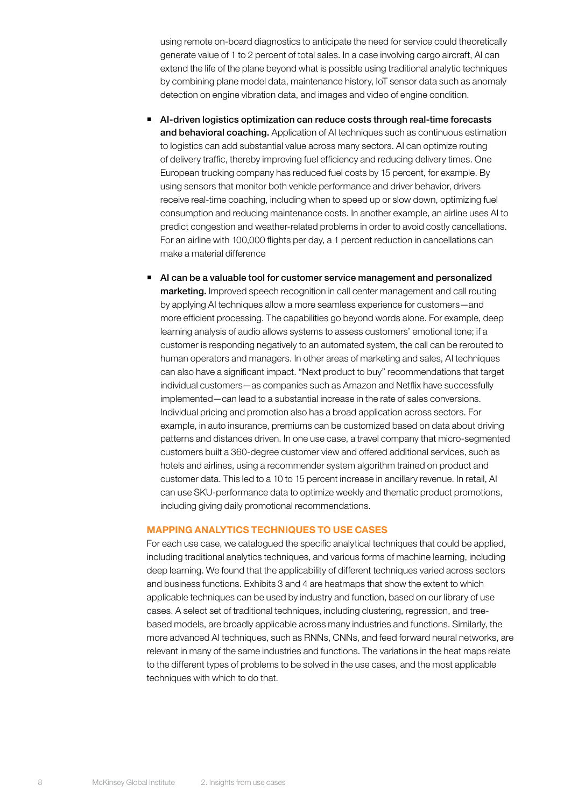using remote on-board diagnostics to anticipate the need for service could theoretically generate value of 1 to 2 percent of total sales. In a case involving cargo aircraft, AI can extend the life of the plane beyond what is possible using traditional analytic techniques by combining plane model data, maintenance history, IoT sensor data such as anomaly detection on engine vibration data, and images and video of engine condition.

- AI-driven logistics optimization can reduce costs through real-time forecasts and behavioral coaching. Application of AI techniques such as continuous estimation to logistics can add substantial value across many sectors. AI can optimize routing of delivery traffic, thereby improving fuel efficiency and reducing delivery times. One European trucking company has reduced fuel costs by 15 percent, for example. By using sensors that monitor both vehicle performance and driver behavior, drivers receive real-time coaching, including when to speed up or slow down, optimizing fuel consumption and reducing maintenance costs. In another example, an airline uses AI to predict congestion and weather-related problems in order to avoid costly cancellations. For an airline with 100,000 flights per day, a 1 percent reduction in cancellations can make a material difference
- AI can be a valuable tool for customer service management and personalized marketing. Improved speech recognition in call center management and call routing by applying AI techniques allow a more seamless experience for customers—and more efficient processing. The capabilities go beyond words alone. For example, deep learning analysis of audio allows systems to assess customers' emotional tone; if a customer is responding negatively to an automated system, the call can be rerouted to human operators and managers. In other areas of marketing and sales, AI techniques can also have a significant impact. "Next product to buy" recommendations that target individual customers—as companies such as Amazon and Netflix have successfully implemented—can lead to a substantial increase in the rate of sales conversions. Individual pricing and promotion also has a broad application across sectors. For example, in auto insurance, premiums can be customized based on data about driving patterns and distances driven. In one use case, a travel company that micro-segmented customers built a 360-degree customer view and offered additional services, such as hotels and airlines, using a recommender system algorithm trained on product and customer data. This led to a 10 to 15 percent increase in ancillary revenue. In retail, AI can use SKU-performance data to optimize weekly and thematic product promotions, including giving daily promotional recommendations.

#### MAPPING ANALYTICS TECHNIQUES TO USE CASES

For each use case, we catalogued the specific analytical techniques that could be applied, including traditional analytics techniques, and various forms of machine learning, including deep learning. We found that the applicability of different techniques varied across sectors and business functions. Exhibits 3 and 4 are heatmaps that show the extent to which applicable techniques can be used by industry and function, based on our library of use cases. A select set of traditional techniques, including clustering, regression, and treebased models, are broadly applicable across many industries and functions. Similarly, the more advanced AI techniques, such as RNNs, CNNs, and feed forward neural networks, are relevant in many of the same industries and functions. The variations in the heat maps relate to the different types of problems to be solved in the use cases, and the most applicable techniques with which to do that.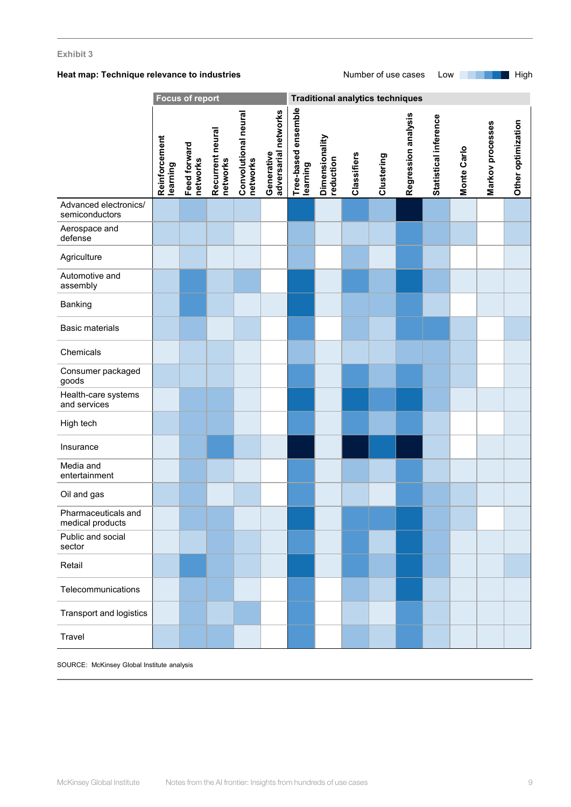### **Heat map: Technique relevance to industries**

Number of use cases Low **High High** High

|                                         | <b>Focus of report</b>     |                          |                              |                                  | <b>Traditional analytics techniques</b> |                                 |                             |             |            |                     |                       |             |                  |                    |
|-----------------------------------------|----------------------------|--------------------------|------------------------------|----------------------------------|-----------------------------------------|---------------------------------|-----------------------------|-------------|------------|---------------------|-----------------------|-------------|------------------|--------------------|
|                                         | Reinforcement<br> learning | Feed forward<br>networks | Recurrent neural<br>networks | Convolutional neural<br>networks | adversarial networks<br>Generative      | Tree-based ensemble<br>learning | Dimensionality<br>reduction | Classifiers | Clustering | Regression analysis | Statistical inference | Monte Carlo | Markov processes | Other optimization |
| Advanced electronics/<br>semiconductors |                            |                          |                              |                                  |                                         |                                 |                             |             |            |                     |                       |             |                  |                    |
| Aerospace and<br>defense                |                            |                          |                              |                                  |                                         |                                 |                             |             |            |                     |                       |             |                  |                    |
| Agriculture                             |                            |                          |                              |                                  |                                         |                                 |                             |             |            |                     |                       |             |                  |                    |
| Automotive and<br>assembly              |                            |                          |                              |                                  |                                         |                                 |                             |             |            |                     |                       |             |                  |                    |
| Banking                                 |                            |                          |                              |                                  |                                         |                                 |                             |             |            |                     |                       |             |                  |                    |
| <b>Basic materials</b>                  |                            |                          |                              |                                  |                                         |                                 |                             |             |            |                     |                       |             |                  |                    |
| Chemicals                               |                            |                          |                              |                                  |                                         |                                 |                             |             |            |                     |                       |             |                  |                    |
| Consumer packaged<br>goods              |                            |                          |                              |                                  |                                         |                                 |                             |             |            |                     |                       |             |                  |                    |
| Health-care systems<br>and services     |                            |                          |                              |                                  |                                         |                                 |                             |             |            |                     |                       |             |                  |                    |
| High tech                               |                            |                          |                              |                                  |                                         |                                 |                             |             |            |                     |                       |             |                  |                    |
| Insurance                               |                            |                          |                              |                                  |                                         |                                 |                             |             |            |                     |                       |             |                  |                    |
| Media and<br>entertainment              |                            |                          |                              |                                  |                                         |                                 |                             |             |            |                     |                       |             |                  |                    |
| Oil and gas                             |                            |                          |                              |                                  |                                         |                                 |                             |             |            |                     |                       |             |                  |                    |
| Pharmaceuticals and<br>medical products |                            |                          |                              |                                  |                                         |                                 |                             |             |            |                     |                       |             |                  |                    |
| Public and social<br>sector             |                            |                          |                              |                                  |                                         |                                 |                             |             |            |                     |                       |             |                  |                    |
| Retail                                  |                            |                          |                              |                                  |                                         |                                 |                             |             |            |                     |                       |             |                  |                    |
| Telecommunications                      |                            |                          |                              |                                  |                                         |                                 |                             |             |            |                     |                       |             |                  |                    |
| Transport and logistics                 |                            |                          |                              |                                  |                                         |                                 |                             |             |            |                     |                       |             |                  |                    |
| Travel                                  |                            |                          |                              |                                  |                                         |                                 |                             |             |            |                     |                       |             |                  |                    |
|                                         |                            |                          |                              |                                  |                                         |                                 |                             |             |            |                     |                       |             |                  |                    |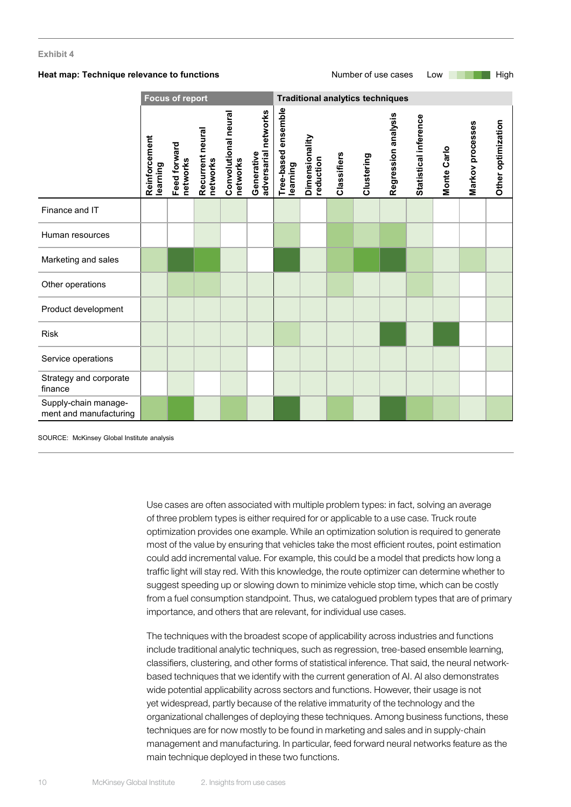#### **Heat map: Technique relevance to functions**

Number of use cases Low **High High** 

|                                                | <b>Focus of report</b>    |                          |                              |                                  |                                    | <b>Traditional analytics techniques</b> |                             |             |            |                     |                       |             |                  |                    |
|------------------------------------------------|---------------------------|--------------------------|------------------------------|----------------------------------|------------------------------------|-----------------------------------------|-----------------------------|-------------|------------|---------------------|-----------------------|-------------|------------------|--------------------|
|                                                | Reinforcement<br>learning | Feed forward<br>networks | Recurrent neural<br>networks | Convolutional neural<br>networks | adversarial networks<br>Generative | Tree-based ensemble<br>learning         | Dimensionality<br>reduction | Classifiers | Clustering | Regression analysis | Statistical inference | Monte Carlo | Markov processes | Other optimization |
| Finance and IT                                 |                           |                          |                              |                                  |                                    |                                         |                             |             |            |                     |                       |             |                  |                    |
| Human resources                                |                           |                          |                              |                                  |                                    |                                         |                             |             |            |                     |                       |             |                  |                    |
| Marketing and sales                            |                           |                          |                              |                                  |                                    |                                         |                             |             |            |                     |                       |             |                  |                    |
| Other operations                               |                           |                          |                              |                                  |                                    |                                         |                             |             |            |                     |                       |             |                  |                    |
| Product development                            |                           |                          |                              |                                  |                                    |                                         |                             |             |            |                     |                       |             |                  |                    |
| <b>Risk</b>                                    |                           |                          |                              |                                  |                                    |                                         |                             |             |            |                     |                       |             |                  |                    |
| Service operations                             |                           |                          |                              |                                  |                                    |                                         |                             |             |            |                     |                       |             |                  |                    |
| Strategy and corporate<br>finance              |                           |                          |                              |                                  |                                    |                                         |                             |             |            |                     |                       |             |                  |                    |
| Supply-chain manage-<br>ment and manufacturing |                           |                          |                              |                                  |                                    |                                         |                             |             |            |                     |                       |             |                  |                    |

SOURCE: McKinsey Global Institute analysis

Use cases are often associated with multiple problem types: in fact, solving an average of three problem types is either required for or applicable to a use case. Truck route optimization provides one example. While an optimization solution is required to generate most of the value by ensuring that vehicles take the most efficient routes, point estimation could add incremental value. For example, this could be a model that predicts how long a traffic light will stay red. With this knowledge, the route optimizer can determine whether to suggest speeding up or slowing down to minimize vehicle stop time, which can be costly from a fuel consumption standpoint. Thus, we catalogued problem types that are of primary importance, and others that are relevant, for individual use cases.

The techniques with the broadest scope of applicability across industries and functions include traditional analytic techniques, such as regression, tree-based ensemble learning, classifiers, clustering, and other forms of statistical inference. That said, the neural networkbased techniques that we identify with the current generation of AI. AI also demonstrates wide potential applicability across sectors and functions. However, their usage is not yet widespread, partly because of the relative immaturity of the technology and the organizational challenges of deploying these techniques. Among business functions, these techniques are for now mostly to be found in marketing and sales and in supply-chain management and manufacturing. In particular, feed forward neural networks feature as the main technique deployed in these two functions.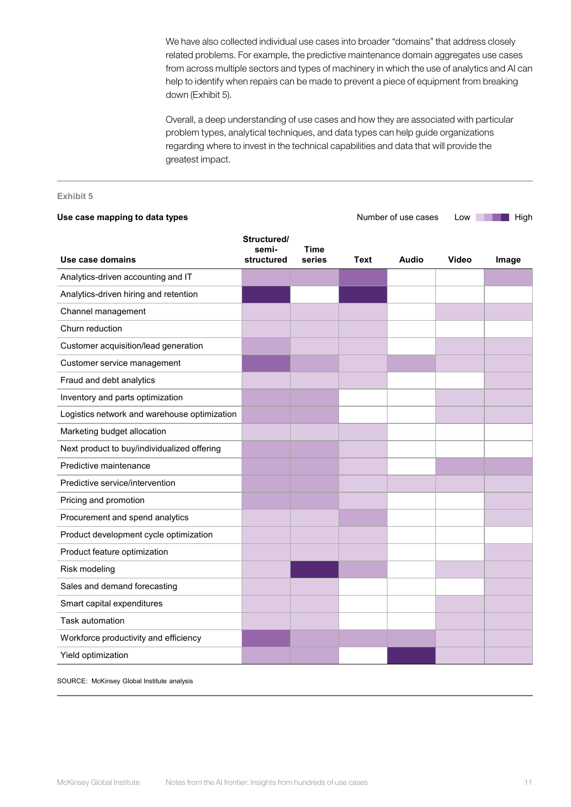We have also collected individual use cases into broader "domains" that address closely related problems. For example, the predictive maintenance domain aggregates use cases from across multiple sectors and types of machinery in which the use of analytics and AI can help to identify when repairs can be made to prevent a piece of equipment from breaking down (Exhibit 5).

Overall, a deep understanding of use cases and how they are associated with particular problem types, analytical techniques, and data types can help guide organizations regarding where to invest in the technical capabilities and data that will provide the greatest impact.

#### **Exhibit 5**

|                                    |                       |             |              | Low   | High                |
|------------------------------------|-----------------------|-------------|--------------|-------|---------------------|
| Structured/<br>semi-<br>structured | <b>Time</b><br>series | <b>Text</b> | <b>Audio</b> | Video | Image               |
|                                    |                       |             |              |       |                     |
|                                    |                       |             |              |       |                     |
|                                    |                       |             |              |       |                     |
|                                    |                       |             |              |       |                     |
|                                    |                       |             |              |       |                     |
|                                    |                       |             |              |       |                     |
|                                    |                       |             |              |       |                     |
|                                    |                       |             |              |       |                     |
|                                    |                       |             |              |       |                     |
|                                    |                       |             |              |       |                     |
|                                    |                       |             |              |       |                     |
|                                    |                       |             |              |       |                     |
|                                    |                       |             |              |       |                     |
|                                    |                       |             |              |       |                     |
|                                    |                       |             |              |       |                     |
|                                    |                       |             |              |       |                     |
|                                    |                       |             |              |       |                     |
|                                    |                       |             |              |       |                     |
|                                    |                       |             |              |       |                     |
|                                    |                       |             |              |       |                     |
|                                    |                       |             |              |       |                     |
|                                    |                       |             |              |       |                     |
|                                    |                       |             |              |       |                     |
|                                    |                       |             |              |       | Number of use cases |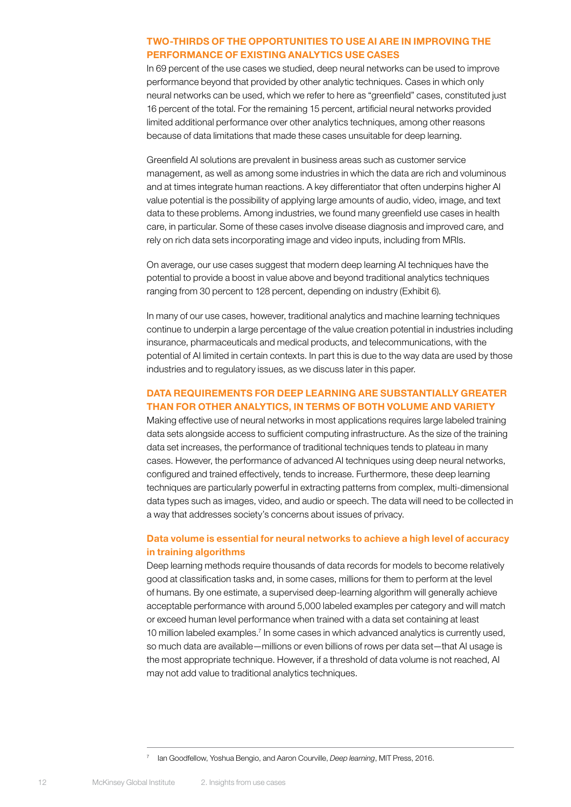### TWO-THIRDS OF THE OPPORTUNITIES TO USE AI ARE IN IMPROVING THE PERFORMANCE OF EXISTING ANALYTICS USE CASES

In 69 percent of the use cases we studied, deep neural networks can be used to improve performance beyond that provided by other analytic techniques. Cases in which only neural networks can be used, which we refer to here as "greenfield" cases, constituted just 16 percent of the total. For the remaining 15 percent, artificial neural networks provided limited additional performance over other analytics techniques, among other reasons because of data limitations that made these cases unsuitable for deep learning.

Greenfield AI solutions are prevalent in business areas such as customer service management, as well as among some industries in which the data are rich and voluminous and at times integrate human reactions. A key differentiator that often underpins higher AI value potential is the possibility of applying large amounts of audio, video, image, and text data to these problems. Among industries, we found many greenfield use cases in health care, in particular. Some of these cases involve disease diagnosis and improved care, and rely on rich data sets incorporating image and video inputs, including from MRIs.

On average, our use cases suggest that modern deep learning AI techniques have the potential to provide a boost in value above and beyond traditional analytics techniques ranging from 30 percent to 128 percent, depending on industry (Exhibit 6).

In many of our use cases, however, traditional analytics and machine learning techniques continue to underpin a large percentage of the value creation potential in industries including insurance, pharmaceuticals and medical products, and telecommunications, with the potential of AI limited in certain contexts. In part this is due to the way data are used by those industries and to regulatory issues, as we discuss later in this paper.

# DATA REQUIREMENTS FOR DEEP LEARNING ARE SUBSTANTIALLY GREATER THAN FOR OTHER ANALYTICS, IN TERMS OF BOTH VOLUME AND VARIETY

Making effective use of neural networks in most applications requires large labeled training data sets alongside access to sufficient computing infrastructure. As the size of the training data set increases, the performance of traditional techniques tends to plateau in many cases. However, the performance of advanced AI techniques using deep neural networks, configured and trained effectively, tends to increase. Furthermore, these deep learning techniques are particularly powerful in extracting patterns from complex, multi-dimensional data types such as images, video, and audio or speech. The data will need to be collected in a way that addresses society's concerns about issues of privacy.

# Data volume is essential for neural networks to achieve a high level of accuracy in training algorithms

Deep learning methods require thousands of data records for models to become relatively good at classification tasks and, in some cases, millions for them to perform at the level of humans. By one estimate, a supervised deep-learning algorithm will generally achieve acceptable performance with around 5,000 labeled examples per category and will match or exceed human level performance when trained with a data set containing at least 10 million labeled examples.7 In some cases in which advanced analytics is currently used, so much data are available—millions or even billions of rows per data set—that AI usage is the most appropriate technique. However, if a threshold of data volume is not reached, AI may not add value to traditional analytics techniques.

<sup>7</sup> Ian Goodfellow, Yoshua Bengio, and Aaron Courville, *Deep learning*, MIT Press, 2016.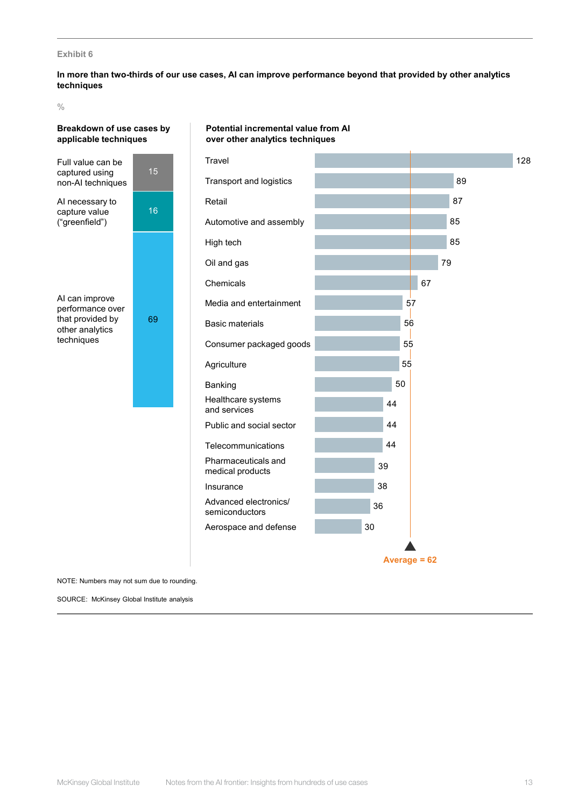**In more than two-thirds of our use cases, AI can improve performance beyond that provided by other analytics techniques**

 $\frac{0}{0}$ 

### **Breakdown of use cases by applicable techniques**



**Potential incremental value from AI over other analytics techniques**



NOTE: Numbers may not sum due to rounding.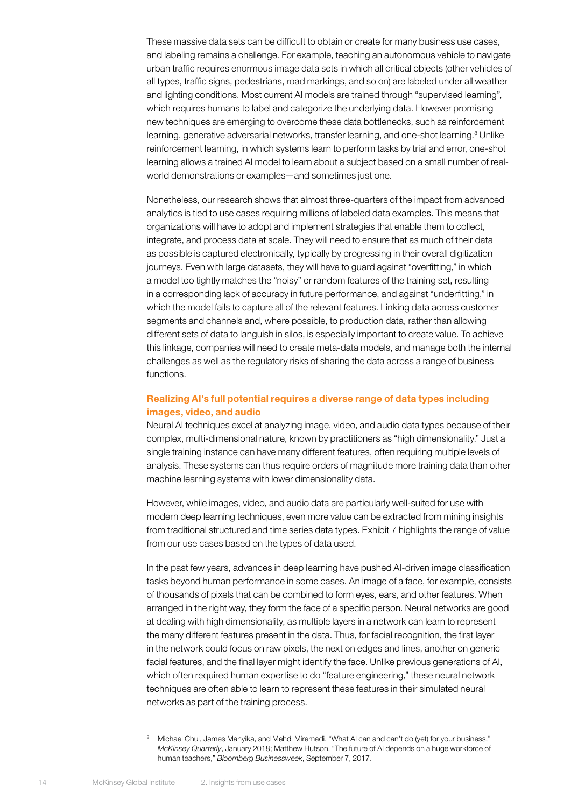These massive data sets can be difficult to obtain or create for many business use cases, and labeling remains a challenge. For example, teaching an autonomous vehicle to navigate urban traffic requires enormous image data sets in which all critical objects (other vehicles of all types, traffic signs, pedestrians, road markings, and so on) are labeled under all weather and lighting conditions. Most current AI models are trained through "supervised learning", which requires humans to label and categorize the underlying data. However promising new techniques are emerging to overcome these data bottlenecks, such as reinforcement learning, generative adversarial networks, transfer learning, and one-shot learning.<sup>8</sup> Unlike reinforcement learning, in which systems learn to perform tasks by trial and error, one-shot learning allows a trained AI model to learn about a subject based on a small number of realworld demonstrations or examples—and sometimes just one.

Nonetheless, our research shows that almost three-quarters of the impact from advanced analytics is tied to use cases requiring millions of labeled data examples. This means that organizations will have to adopt and implement strategies that enable them to collect, integrate, and process data at scale. They will need to ensure that as much of their data as possible is captured electronically, typically by progressing in their overall digitization journeys. Even with large datasets, they will have to guard against "overfitting," in which a model too tightly matches the "noisy" or random features of the training set, resulting in a corresponding lack of accuracy in future performance, and against "underfitting," in which the model fails to capture all of the relevant features. Linking data across customer segments and channels and, where possible, to production data, rather than allowing different sets of data to languish in silos, is especially important to create value. To achieve this linkage, companies will need to create meta-data models, and manage both the internal challenges as well as the regulatory risks of sharing the data across a range of business functions.

### Realizing AI's full potential requires a diverse range of data types including images, video, and audio

Neural AI techniques excel at analyzing image, video, and audio data types because of their complex, multi-dimensional nature, known by practitioners as "high dimensionality." Just a single training instance can have many different features, often requiring multiple levels of analysis. These systems can thus require orders of magnitude more training data than other machine learning systems with lower dimensionality data.

However, while images, video, and audio data are particularly well-suited for use with modern deep learning techniques, even more value can be extracted from mining insights from traditional structured and time series data types. Exhibit 7 highlights the range of value from our use cases based on the types of data used.

In the past few years, advances in deep learning have pushed AI-driven image classification tasks beyond human performance in some cases. An image of a face, for example, consists of thousands of pixels that can be combined to form eyes, ears, and other features. When arranged in the right way, they form the face of a specific person. Neural networks are good at dealing with high dimensionality, as multiple layers in a network can learn to represent the many different features present in the data. Thus, for facial recognition, the first layer in the network could focus on raw pixels, the next on edges and lines, another on generic facial features, and the final layer might identify the face. Unlike previous generations of AI, which often required human expertise to do "feature engineering," these neural network techniques are often able to learn to represent these features in their simulated neural networks as part of the training process.

<sup>8</sup> Michael Chui, James Manyika, and Mehdi Miremadi, "What AI can and can't do (yet) for your business," *McKinsey Quarterly*, January 2018; Matthew Hutson, "The future of AI depends on a huge workforce of human teachers," *Bloomberg Businessweek*, September 7, 2017.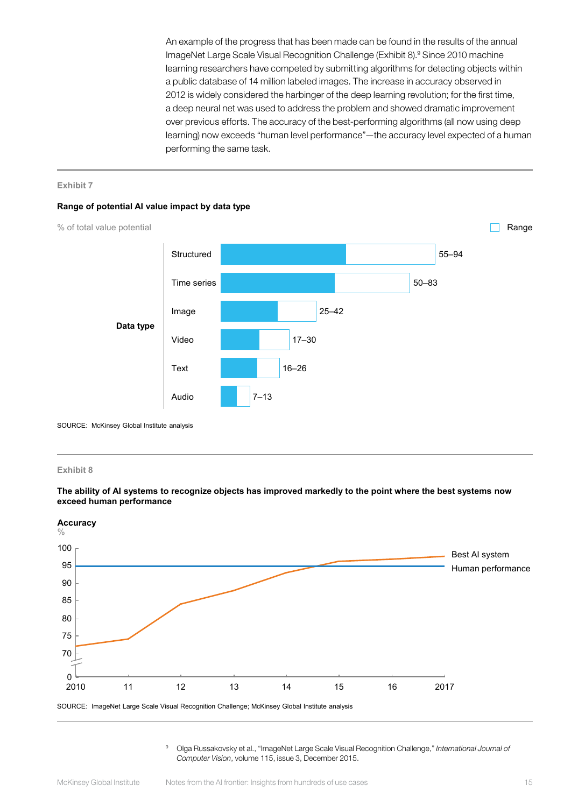An example of the progress that has been made can be found in the results of the annual ImageNet Large Scale Visual Recognition Challenge (Exhibit 8).<sup>9</sup> Since 2010 machine learning researchers have competed by submitting algorithms for detecting objects within a public database of 14 million labeled images. The increase in accuracy observed in 2012 is widely considered the harbinger of the deep learning revolution; for the first time, a deep neural net was used to address the problem and showed dramatic improvement over previous efforts. The accuracy of the best-performing algorithms (all now using deep learning) now exceeds "human level performance"—the accuracy level expected of a human performing the same task.

#### **Exhibit 7**

#### **Range of potential AI value impact by data type**



#### **Exhibit 8**





<sup>9</sup> Olga Russakovsky et al., "ImageNet Large Scale Visual Recognition Challenge," *International Journal of Computer Vision*, volume 115, issue 3, December 2015.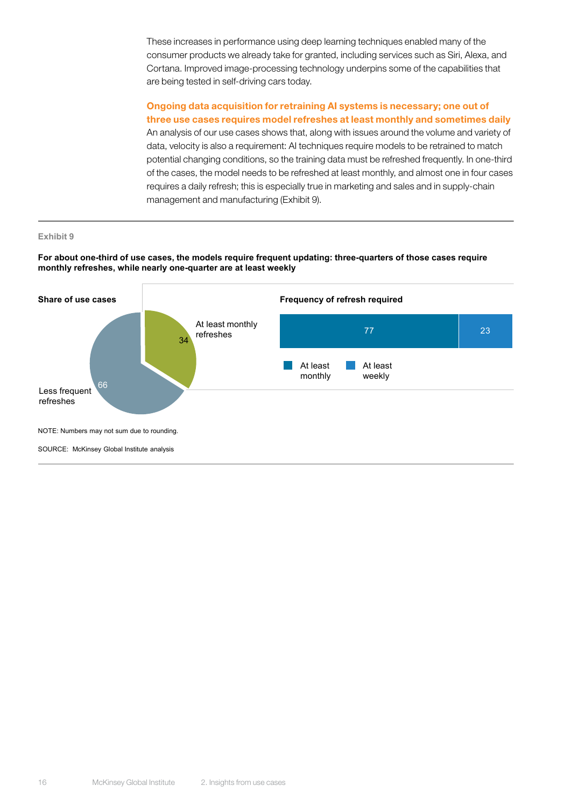These increases in performance using deep learning techniques enabled many of the consumer products we already take for granted, including services such as Siri, Alexa, and Cortana. Improved image-processing technology underpins some of the capabilities that are being tested in self-driving cars today.

Ongoing data acquisition for retraining AI systems is necessary; one out of three use cases requires model refreshes at least monthly and sometimes daily An analysis of our use cases shows that, along with issues around the volume and variety of data, velocity is also a requirement: AI techniques require models to be retrained to match potential changing conditions, so the training data must be refreshed frequently. In one-third of the cases, the model needs to be refreshed at least monthly, and almost one in four cases requires a daily refresh; this is especially true in marketing and sales and in supply-chain management and manufacturing (Exhibit 9).

#### **Exhibit 9**

**For about one-third of use cases, the models require frequent updating: three-quarters of those cases require monthly refreshes, while nearly one-quarter are at least weekly**

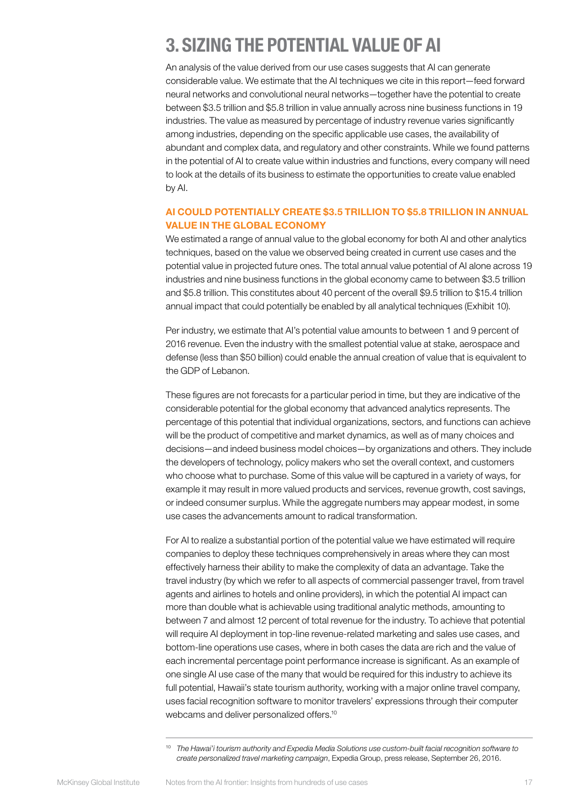# <span id="page-20-0"></span>3. SIZING THE POTENTIAL VALUE OF AI

An analysis of the value derived from our use cases suggests that AI can generate considerable value. We estimate that the AI techniques we cite in this report—feed forward neural networks and convolutional neural networks—together have the potential to create between \$3.5 trillion and \$5.8 trillion in value annually across nine business functions in 19 industries. The value as measured by percentage of industry revenue varies significantly among industries, depending on the specific applicable use cases, the availability of abundant and complex data, and regulatory and other constraints. While we found patterns in the potential of AI to create value within industries and functions, every company will need to look at the details of its business to estimate the opportunities to create value enabled by AI.

### AI COULD POTENTIALLY CREATE \$3.5 TRILLION TO \$5.8 TRILLION IN ANNUAL VALUE IN THE GLOBAL ECONOMY

We estimated a range of annual value to the global economy for both AI and other analytics techniques, based on the value we observed being created in current use cases and the potential value in projected future ones. The total annual value potential of AI alone across 19 industries and nine business functions in the global economy came to between \$3.5 trillion and \$5.8 trillion. This constitutes about 40 percent of the overall \$9.5 trillion to \$15.4 trillion annual impact that could potentially be enabled by all analytical techniques (Exhibit 10).

Per industry, we estimate that AI's potential value amounts to between 1 and 9 percent of 2016 revenue. Even the industry with the smallest potential value at stake, aerospace and defense (less than \$50 billion) could enable the annual creation of value that is equivalent to the GDP of Lebanon.

These figures are not forecasts for a particular period in time, but they are indicative of the considerable potential for the global economy that advanced analytics represents. The percentage of this potential that individual organizations, sectors, and functions can achieve will be the product of competitive and market dynamics, as well as of many choices and decisions—and indeed business model choices—by organizations and others. They include the developers of technology, policy makers who set the overall context, and customers who choose what to purchase. Some of this value will be captured in a variety of ways, for example it may result in more valued products and services, revenue growth, cost savings, or indeed consumer surplus. While the aggregate numbers may appear modest, in some use cases the advancements amount to radical transformation.

For AI to realize a substantial portion of the potential value we have estimated will require companies to deploy these techniques comprehensively in areas where they can most effectively harness their ability to make the complexity of data an advantage. Take the travel industry (by which we refer to all aspects of commercial passenger travel, from travel agents and airlines to hotels and online providers), in which the potential AI impact can more than double what is achievable using traditional analytic methods, amounting to between 7 and almost 12 percent of total revenue for the industry. To achieve that potential will require AI deployment in top-line revenue-related marketing and sales use cases, and bottom-line operations use cases, where in both cases the data are rich and the value of each incremental percentage point performance increase is significant. As an example of one single AI use case of the many that would be required for this industry to achieve its full potential, Hawaii's state tourism authority, working with a major online travel company, uses facial recognition software to monitor travelers' expressions through their computer webcams and deliver personalized offers.10

<sup>10</sup> *The Hawai'i tourism authority and Expedia Media Solutions use custom-built facial recognition software to create personalized travel marketing campaign*, Expedia Group, press release, September 26, 2016.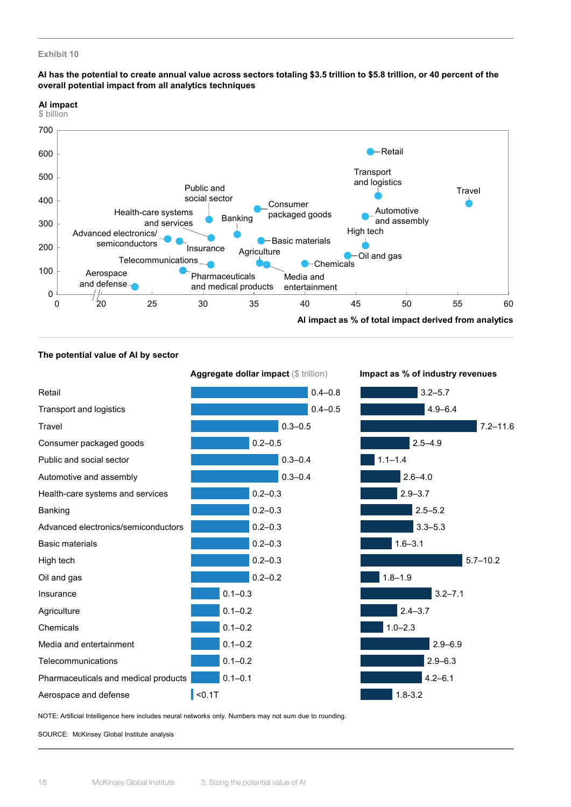#### **AI has the potential to create annual value across sectors totaling \$3.5 trillion to \$5.8 trillion, or 40 percent of the overall potential impact from all analytics techniques**

**Al impact**



#### **The potential value of AI by sector**



NOTE: Artificial Intelligence here includes neural networks only. Numbers may not sum due to rounding.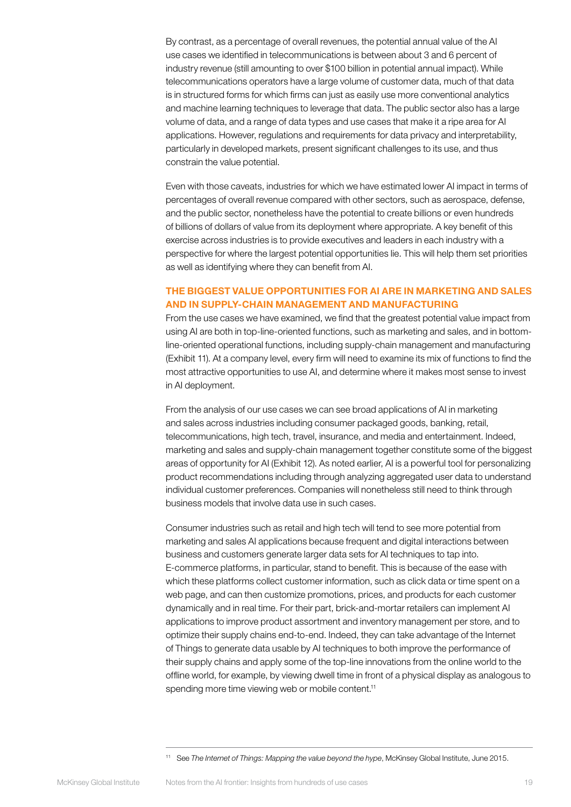By contrast, as a percentage of overall revenues, the potential annual value of the AI use cases we identified in telecommunications is between about 3 and 6 percent of industry revenue (still amounting to over \$100 billion in potential annual impact). While telecommunications operators have a large volume of customer data, much of that data is in structured forms for which firms can just as easily use more conventional analytics and machine learning techniques to leverage that data. The public sector also has a large volume of data, and a range of data types and use cases that make it a ripe area for AI applications. However, regulations and requirements for data privacy and interpretability, particularly in developed markets, present significant challenges to its use, and thus constrain the value potential.

Even with those caveats, industries for which we have estimated lower AI impact in terms of percentages of overall revenue compared with other sectors, such as aerospace, defense, and the public sector, nonetheless have the potential to create billions or even hundreds of billions of dollars of value from its deployment where appropriate. A key benefit of this exercise across industries is to provide executives and leaders in each industry with a perspective for where the largest potential opportunities lie. This will help them set priorities as well as identifying where they can benefit from AI.

## THE BIGGEST VALUE OPPORTUNITIES FOR AI ARE IN MARKETING AND SALES AND IN SUPPLY-CHAIN MANAGEMENT AND MANUFACTURING

From the use cases we have examined, we find that the greatest potential value impact from using AI are both in top-line-oriented functions, such as marketing and sales, and in bottomline-oriented operational functions, including supply-chain management and manufacturing (Exhibit 11). At a company level, every firm will need to examine its mix of functions to find the most attractive opportunities to use AI, and determine where it makes most sense to invest in AI deployment.

From the analysis of our use cases we can see broad applications of AI in marketing and sales across industries including consumer packaged goods, banking, retail, telecommunications, high tech, travel, insurance, and media and entertainment. Indeed, marketing and sales and supply-chain management together constitute some of the biggest areas of opportunity for AI (Exhibit 12). As noted earlier, AI is a powerful tool for personalizing product recommendations including through analyzing aggregated user data to understand individual customer preferences. Companies will nonetheless still need to think through business models that involve data use in such cases.

Consumer industries such as retail and high tech will tend to see more potential from marketing and sales AI applications because frequent and digital interactions between business and customers generate larger data sets for AI techniques to tap into. E-commerce platforms, in particular, stand to benefit. This is because of the ease with which these platforms collect customer information, such as click data or time spent on a web page, and can then customize promotions, prices, and products for each customer dynamically and in real time. For their part, brick-and-mortar retailers can implement AI applications to improve product assortment and inventory management per store, and to optimize their supply chains end-to-end. Indeed, they can take advantage of the Internet of Things to generate data usable by AI techniques to both improve the performance of their supply chains and apply some of the top-line innovations from the online world to the offline world, for example, by viewing dwell time in front of a physical display as analogous to spending more time viewing web or mobile content.<sup>11</sup>

<sup>&</sup>lt;sup>11</sup> See The Internet of Things: Mapping the value beyond the hype, McKinsey Global Institute, June 2015.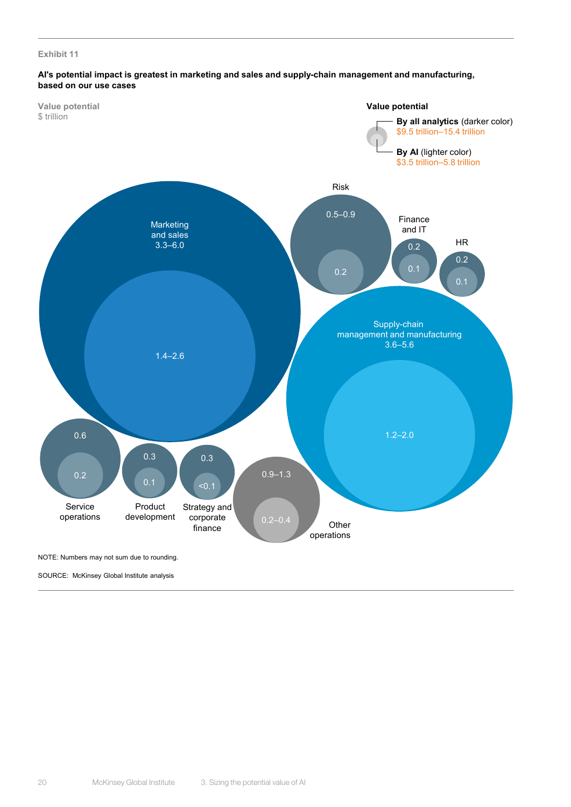#### **AI's potential impact is greatest in marketing and sales and supply-chain management and manufacturing, based on our use cases**



NOTE: Numbers may not sum due to rounding.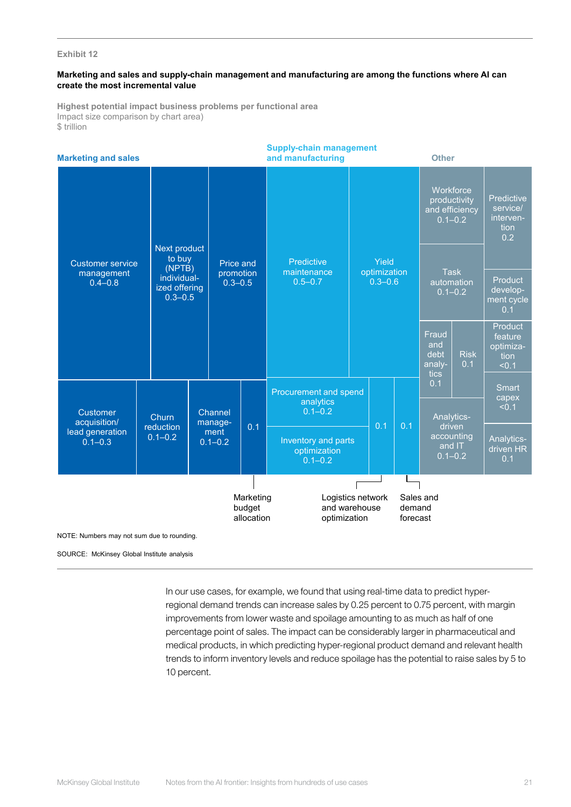#### **Marketing and sales and supply-chain management and manufacturing are among the functions where AI can create the most incremental value**

**Highest potential impact business problems per functional area** Impact size comparison by chart area) \$ trillion

| <b>Marketing and sales</b>                           | <b>Supply-chain management</b><br>and manufacturing | <b>Other</b>                                                                    |                                                                                       |                                              |     |                                                    |                                      |     |     |                                                              |                           |                                                           |  |
|------------------------------------------------------|-----------------------------------------------------|---------------------------------------------------------------------------------|---------------------------------------------------------------------------------------|----------------------------------------------|-----|----------------------------------------------------|--------------------------------------|-----|-----|--------------------------------------------------------------|---------------------------|-----------------------------------------------------------|--|
| <b>Customer service</b><br>management<br>$0.4 - 0.8$ |                                                     | Next product<br>to buy<br>(NPTB)<br>individual-<br>ized offering<br>$0.3 - 0.5$ |                                                                                       | <b>Price and</b><br>promotion<br>$0.3 - 0.5$ |     | Predictive                                         | Yield<br>optimization<br>$0.3 - 0.6$ |     |     | Workforce<br>productivity<br>and efficiency<br>$0.1 - 0.2$   |                           | <b>Predictive</b><br>service/<br>interven-<br>tion<br>0.2 |  |
|                                                      |                                                     |                                                                                 |                                                                                       |                                              |     | maintenance<br>$0.5 - 0.7$                         |                                      |     |     | <b>Task</b>                                                  | automation<br>$0.1 - 0.2$ | Product<br>develop-<br>ment cycle<br>0.1                  |  |
|                                                      |                                                     |                                                                                 |                                                                                       |                                              |     |                                                    |                                      |     |     | Fraud<br>and<br><b>Risk</b><br>debt<br>0.1<br>analy-<br>tics |                           | Product<br>feature<br>optimiza-<br>tion<br>< 0.1          |  |
|                                                      |                                                     |                                                                                 |                                                                                       |                                              |     | Procurement and spend                              |                                      |     |     | 0.1                                                          |                           | <b>Smart</b><br>capex                                     |  |
| <b>Customer</b><br>acquisition/                      |                                                     | Churn                                                                           |                                                                                       | Channel<br>manage-                           |     | analytics<br>$0.1 - 0.2$                           |                                      |     |     |                                                              | Analytics-                | < 0.1                                                     |  |
| lead generation<br>$0.1 - 0.3$                       |                                                     | reduction<br>$0.1 - 0.2$                                                        |                                                                                       | ment<br>$0.1 - 0.2$                          | 0.1 | Inventory and parts<br>optimization<br>$0.1 - 0.2$ |                                      | 0.1 | 0.1 | driven<br>accounting                                         | and IT<br>$0.1 - 0.2$     | Analytics-<br>driven HR<br>0.1                            |  |
|                                                      |                                                     |                                                                                 |                                                                                       |                                              |     |                                                    |                                      |     |     |                                                              |                           |                                                           |  |
| Marketing<br>budget<br>allocation                    |                                                     |                                                                                 | Logistics network<br>Sales and<br>and warehouse<br>demand<br>optimization<br>forecast |                                              |     |                                                    |                                      |     |     |                                                              |                           |                                                           |  |

NOTE: Numbers may not sum due to rounding.

SOURCE: McKinsey Global Institute analysis

In our use cases, for example, we found that using real-time data to predict hyperregional demand trends can increase sales by 0.25 percent to 0.75 percent, with margin improvements from lower waste and spoilage amounting to as much as half of one percentage point of sales. The impact can be considerably larger in pharmaceutical and medical products, in which predicting hyper-regional product demand and relevant health trends to inform inventory levels and reduce spoilage has the potential to raise sales by 5 to 10 percent.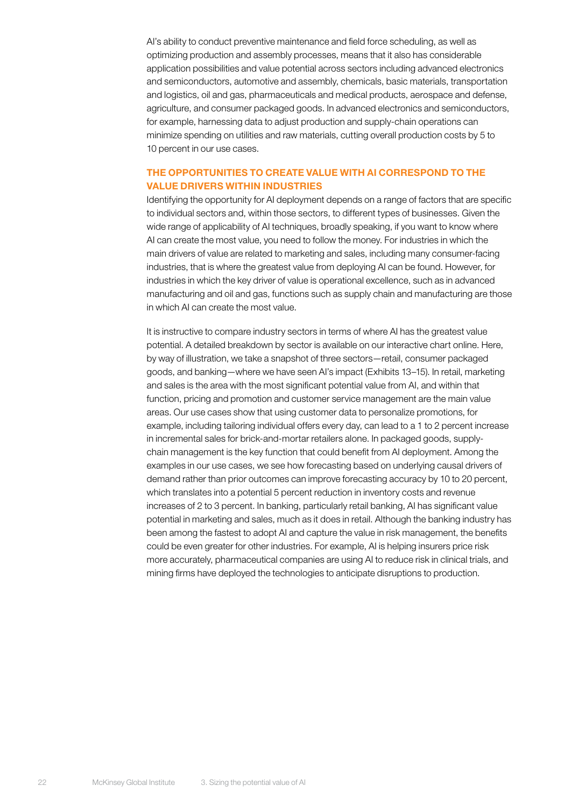AI's ability to conduct preventive maintenance and field force scheduling, as well as optimizing production and assembly processes, means that it also has considerable application possibilities and value potential across sectors including advanced electronics and semiconductors, automotive and assembly, chemicals, basic materials, transportation and logistics, oil and gas, pharmaceuticals and medical products, aerospace and defense, agriculture, and consumer packaged goods. In advanced electronics and semiconductors, for example, harnessing data to adjust production and supply-chain operations can minimize spending on utilities and raw materials, cutting overall production costs by 5 to 10 percent in our use cases.

# THE OPPORTUNITIES TO CREATE VALUE WITH AI CORRESPOND TO THE VALUE DRIVERS WITHIN INDUSTRIES

Identifying the opportunity for AI deployment depends on a range of factors that are specific to individual sectors and, within those sectors, to different types of businesses. Given the wide range of applicability of AI techniques, broadly speaking, if you want to know where AI can create the most value, you need to follow the money. For industries in which the main drivers of value are related to marketing and sales, including many consumer-facing industries, that is where the greatest value from deploying AI can be found. However, for industries in which the key driver of value is operational excellence, such as in advanced manufacturing and oil and gas, functions such as supply chain and manufacturing are those in which AI can create the most value.

It is instructive to compare industry sectors in terms of where AI has the greatest value potential. A detailed breakdown by sector is available on our interactive chart online. Here, by way of illustration, we take a snapshot of three sectors—retail, consumer packaged goods, and banking—where we have seen AI's impact (Exhibits 13–15). In retail, marketing and sales is the area with the most significant potential value from AI, and within that function, pricing and promotion and customer service management are the main value areas. Our use cases show that using customer data to personalize promotions, for example, including tailoring individual offers every day, can lead to a 1 to 2 percent increase in incremental sales for brick-and-mortar retailers alone. In packaged goods, supplychain management is the key function that could benefit from AI deployment. Among the examples in our use cases, we see how forecasting based on underlying causal drivers of demand rather than prior outcomes can improve forecasting accuracy by 10 to 20 percent, which translates into a potential 5 percent reduction in inventory costs and revenue increases of 2 to 3 percent. In banking, particularly retail banking, AI has significant value potential in marketing and sales, much as it does in retail. Although the banking industry has been among the fastest to adopt AI and capture the value in risk management, the benefits could be even greater for other industries. For example, AI is helping insurers price risk more accurately, pharmaceutical companies are using AI to reduce risk in clinical trials, and mining firms have deployed the technologies to anticipate disruptions to production.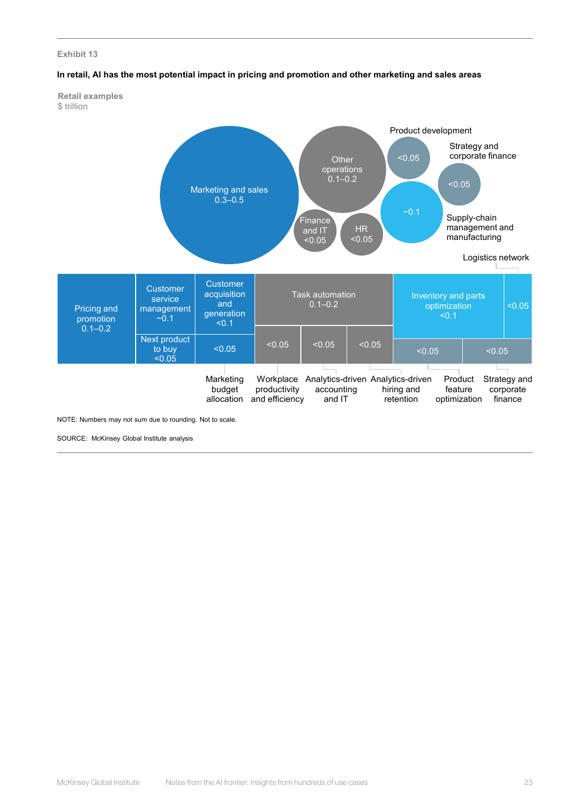#### **In retail, AI has the most potential impact in pricing and promotion and other marketing and sales areas**



NOTE: Numbers may not sum due to rounding. Not to scale.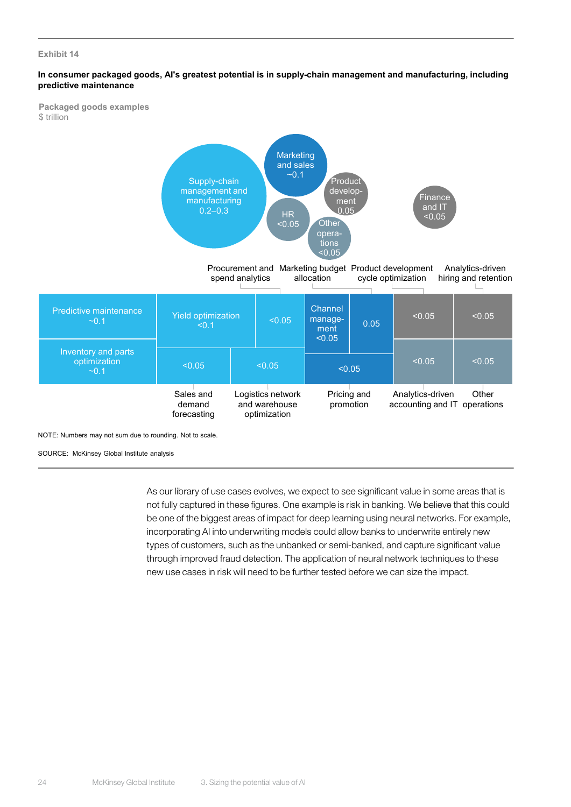**In consumer packaged goods, AI's greatest potential is in supply-chain management and manufacturing, including predictive maintenance**

**Packaged goods examples** \$ trillion



Procurement and Marketing budget Product development cycle optimization hiring and retention Analytics-driven allocation spend analytics

| <b>Predictive maintenance</b><br>$~1$ $~0.1$       | <b>Yield optimization</b><br>< 0.1 | < 0.05                                             | Channel<br>manage-<br>ment<br>< 0.05 | 0.05                     | < 0.05                                | < 0.05              |
|----------------------------------------------------|------------------------------------|----------------------------------------------------|--------------------------------------|--------------------------|---------------------------------------|---------------------|
| Inventory and parts<br>optimization<br>$~1$ $~0.1$ | < 0.05                             | < 0.05                                             |                                      | < 0.05                   | < 0.05                                | < 0.05              |
|                                                    | Sales and<br>demand<br>forecasting | Logistics network<br>and warehouse<br>optimization |                                      | Pricing and<br>promotion | Analytics-driven<br>accounting and IT | Other<br>operations |

NOTE: Numbers may not sum due to rounding. Not to scale.

SOURCE: McKinsey Global Institute analysis

As our library of use cases evolves, we expect to see significant value in some areas that is not fully captured in these figures. One example is risk in banking. We believe that this could be one of the biggest areas of impact for deep learning using neural networks. For example, incorporating AI into underwriting models could allow banks to underwrite entirely new types of customers, such as the unbanked or semi-banked, and capture significant value through improved fraud detection. The application of neural network techniques to these new use cases in risk will need to be further tested before we can size the impact.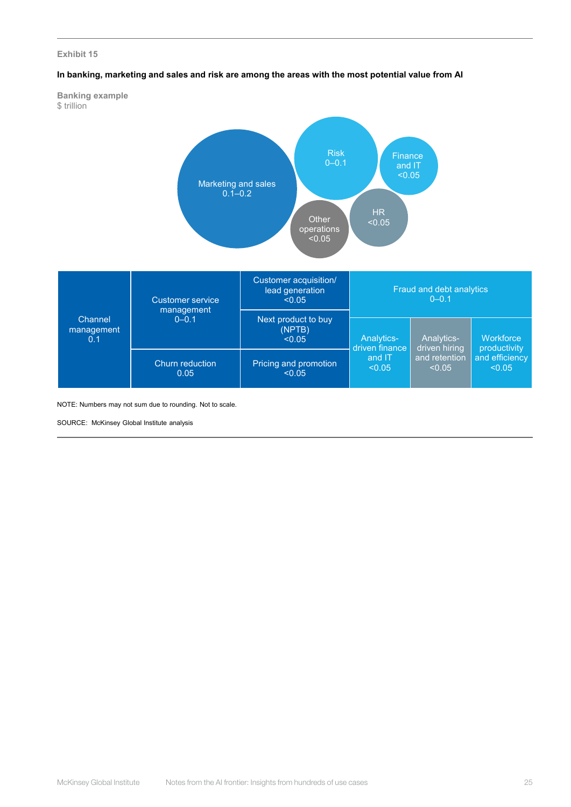#### **In banking, marketing and sales and risk are among the areas with the most potential value from AI**



NOTE: Numbers may not sum due to rounding. Not to scale.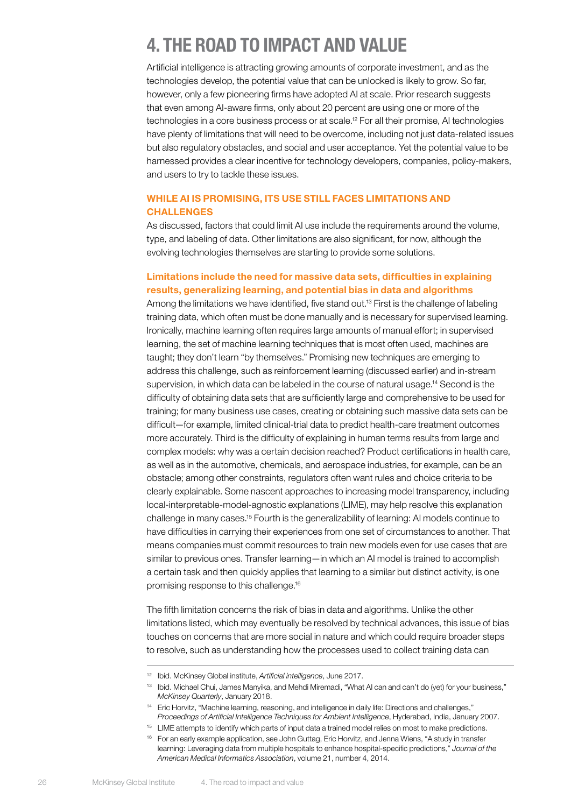# <span id="page-29-0"></span>4. THE ROAD TO IMPACT AND VALUE

Artificial intelligence is attracting growing amounts of corporate investment, and as the technologies develop, the potential value that can be unlocked is likely to grow. So far, however, only a few pioneering firms have adopted AI at scale. Prior research suggests that even among AI-aware firms, only about 20 percent are using one or more of the technologies in a core business process or at scale.<sup>12</sup> For all their promise, AI technologies have plenty of limitations that will need to be overcome, including not just data-related issues but also regulatory obstacles, and social and user acceptance. Yet the potential value to be harnessed provides a clear incentive for technology developers, companies, policy-makers, and users to try to tackle these issues.

# WHILE AI IS PROMISING, ITS USE STILL FACES LIMITATIONS AND **CHALLENGES**

As discussed, factors that could limit AI use include the requirements around the volume, type, and labeling of data. Other limitations are also significant, for now, although the evolving technologies themselves are starting to provide some solutions.

# Limitations include the need for massive data sets, difficulties in explaining results, generalizing learning, and potential bias in data and algorithms

Among the limitations we have identified, five stand out.<sup>13</sup> First is the challenge of labeling training data, which often must be done manually and is necessary for supervised learning. Ironically, machine learning often requires large amounts of manual effort; in supervised learning, the set of machine learning techniques that is most often used, machines are taught; they don't learn "by themselves." Promising new techniques are emerging to address this challenge, such as reinforcement learning (discussed earlier) and in-stream supervision, in which data can be labeled in the course of natural usage.14 Second is the difficulty of obtaining data sets that are sufficiently large and comprehensive to be used for training; for many business use cases, creating or obtaining such massive data sets can be difficult—for example, limited clinical-trial data to predict health-care treatment outcomes more accurately. Third is the difficulty of explaining in human terms results from large and complex models: why was a certain decision reached? Product certifications in health care, as well as in the automotive, chemicals, and aerospace industries, for example, can be an obstacle; among other constraints, regulators often want rules and choice criteria to be clearly explainable. Some nascent approaches to increasing model transparency, including local-interpretable-model-agnostic explanations (LIME), may help resolve this explanation challenge in many cases.15 Fourth is the generalizability of learning: AI models continue to have difficulties in carrying their experiences from one set of circumstances to another. That means companies must commit resources to train new models even for use cases that are similar to previous ones. Transfer learning—in which an AI model is trained to accomplish a certain task and then quickly applies that learning to a similar but distinct activity, is one promising response to this challenge.16

The fifth limitation concerns the risk of bias in data and algorithms. Unlike the other limitations listed, which may eventually be resolved by technical advances, this issue of bias touches on concerns that are more social in nature and which could require broader steps to resolve, such as understanding how the processes used to collect training data can

<sup>12</sup> Ibid. McKinsey Global institute, *Artificial intelligence*, June 2017.

<sup>13</sup> Ibid. Michael Chui, James Manyika, and Mehdi Miremadi, "What AI can and can't do (yet) for your business," *McKinsey Quarterly*, January 2018.

<sup>&</sup>lt;sup>14</sup> Eric Horvitz, "Machine learning, reasoning, and intelligence in daily life: Directions and challenges," *Proceedings of Artificial Intelligence Techniques for Ambient Intelligence*, Hyderabad, India, January 2007.

<sup>&</sup>lt;sup>15</sup> LIME attempts to identify which parts of input data a trained model relies on most to make predictions.

<sup>&</sup>lt;sup>16</sup> For an early example application, see John Guttag, Eric Horvitz, and Jenna Wiens, "A study in transfer learning: Leveraging data from multiple hospitals to enhance hospital-specific predictions," *Journal of the American Medical Informatics Association*, volume 21, number 4, 2014.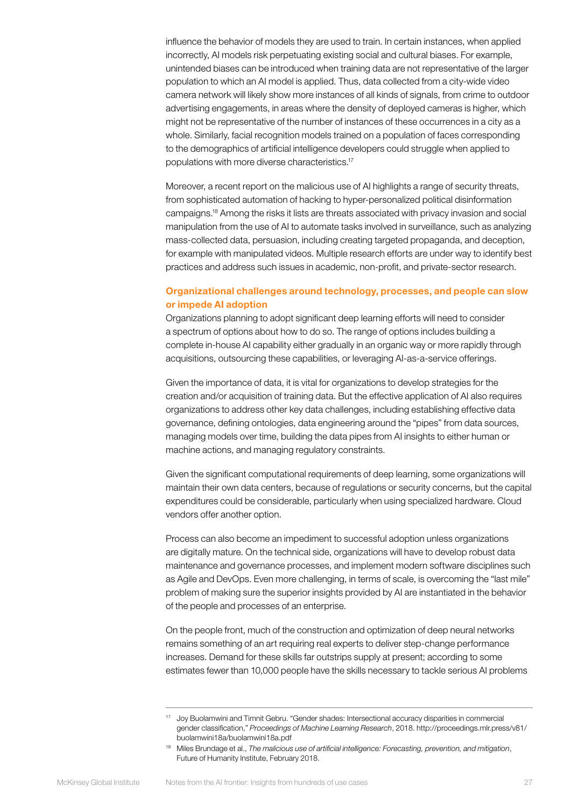influence the behavior of models they are used to train. In certain instances, when applied incorrectly, AI models risk perpetuating existing social and cultural biases. For example, unintended biases can be introduced when training data are not representative of the larger population to which an AI model is applied. Thus, data collected from a city-wide video camera network will likely show more instances of all kinds of signals, from crime to outdoor advertising engagements, in areas where the density of deployed cameras is higher, which might not be representative of the number of instances of these occurrences in a city as a whole. Similarly, facial recognition models trained on a population of faces corresponding to the demographics of artificial intelligence developers could struggle when applied to populations with more diverse characteristics.17

Moreover, a recent report on the malicious use of AI highlights a range of security threats, from sophisticated automation of hacking to hyper-personalized political disinformation campaigns.18 Among the risks it lists are threats associated with privacy invasion and social manipulation from the use of AI to automate tasks involved in surveillance, such as analyzing mass-collected data, persuasion, including creating targeted propaganda, and deception, for example with manipulated videos. Multiple research efforts are under way to identify best practices and address such issues in academic, non-profit, and private-sector research.

### Organizational challenges around technology, processes, and people can slow or impede AI adoption

Organizations planning to adopt significant deep learning efforts will need to consider a spectrum of options about how to do so. The range of options includes building a complete in-house AI capability either gradually in an organic way or more rapidly through acquisitions, outsourcing these capabilities, or leveraging AI-as-a-service offerings.

Given the importance of data, it is vital for organizations to develop strategies for the creation and/or acquisition of training data. But the effective application of AI also requires organizations to address other key data challenges, including establishing effective data governance, defining ontologies, data engineering around the "pipes" from data sources, managing models over time, building the data pipes from AI insights to either human or machine actions, and managing regulatory constraints.

Given the significant computational requirements of deep learning, some organizations will maintain their own data centers, because of regulations or security concerns, but the capital expenditures could be considerable, particularly when using specialized hardware. Cloud vendors offer another option.

Process can also become an impediment to successful adoption unless organizations are digitally mature. On the technical side, organizations will have to develop robust data maintenance and governance processes, and implement modern software disciplines such as Agile and DevOps. Even more challenging, in terms of scale, is overcoming the "last mile" problem of making sure the superior insights provided by AI are instantiated in the behavior of the people and processes of an enterprise.

On the people front, much of the construction and optimization of deep neural networks remains something of an art requiring real experts to deliver step-change performance increases. Demand for these skills far outstrips supply at present; according to some estimates fewer than 10,000 people have the skills necessary to tackle serious AI problems

<sup>17</sup> Joy Buolamwini and Timnit Gebru. "Gender shades: Intersectional accuracy disparities in commercial gender classification," *Proceedings of Machine Learning Research*, 2018. http://proceedings.mlr.press/v81/ buolamwini18a/buolamwini18a.pdf

<sup>18</sup> Miles Brundage et al., *The malicious use of artificial intelligence: Forecasting, prevention, and mitigation*, Future of Humanity Institute, February 2018.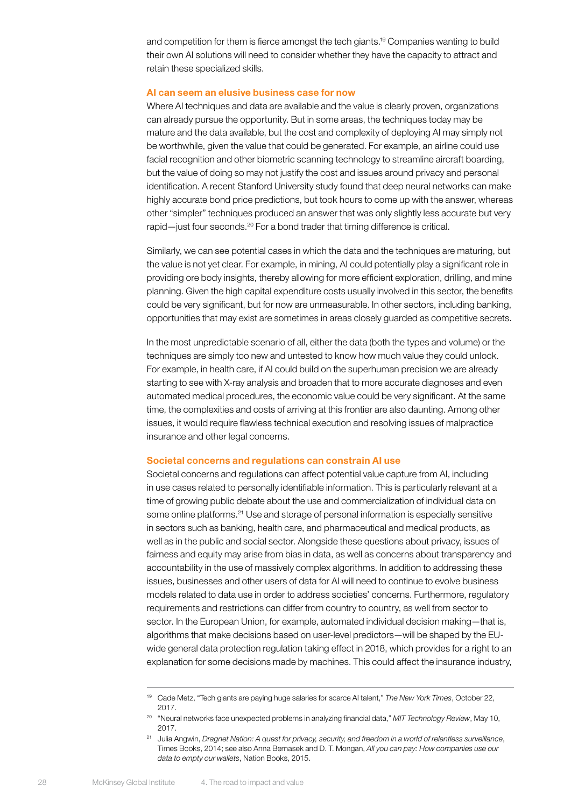and competition for them is fierce amongst the tech giants.19 Companies wanting to build their own AI solutions will need to consider whether they have the capacity to attract and retain these specialized skills.

#### AI can seem an elusive business case for now

Where AI techniques and data are available and the value is clearly proven, organizations can already pursue the opportunity. But in some areas, the techniques today may be mature and the data available, but the cost and complexity of deploying AI may simply not be worthwhile, given the value that could be generated. For example, an airline could use facial recognition and other biometric scanning technology to streamline aircraft boarding, but the value of doing so may not justify the cost and issues around privacy and personal identification. A recent Stanford University study found that deep neural networks can make highly accurate bond price predictions, but took hours to come up with the answer, whereas other "simpler" techniques produced an answer that was only slightly less accurate but very rapid—just four seconds.<sup>20</sup> For a bond trader that timing difference is critical.

Similarly, we can see potential cases in which the data and the techniques are maturing, but the value is not yet clear. For example, in mining, AI could potentially play a significant role in providing ore body insights, thereby allowing for more efficient exploration, drilling, and mine planning. Given the high capital expenditure costs usually involved in this sector, the benefits could be very significant, but for now are unmeasurable. In other sectors, including banking, opportunities that may exist are sometimes in areas closely guarded as competitive secrets.

In the most unpredictable scenario of all, either the data (both the types and volume) or the techniques are simply too new and untested to know how much value they could unlock. For example, in health care, if AI could build on the superhuman precision we are already starting to see with X-ray analysis and broaden that to more accurate diagnoses and even automated medical procedures, the economic value could be very significant. At the same time, the complexities and costs of arriving at this frontier are also daunting. Among other issues, it would require flawless technical execution and resolving issues of malpractice insurance and other legal concerns.

#### Societal concerns and regulations can constrain AI use

Societal concerns and regulations can affect potential value capture from AI, including in use cases related to personally identifiable information. This is particularly relevant at a time of growing public debate about the use and commercialization of individual data on some online platforms.<sup>21</sup> Use and storage of personal information is especially sensitive in sectors such as banking, health care, and pharmaceutical and medical products, as well as in the public and social sector. Alongside these questions about privacy, issues of fairness and equity may arise from bias in data, as well as concerns about transparency and accountability in the use of massively complex algorithms. In addition to addressing these issues, businesses and other users of data for AI will need to continue to evolve business models related to data use in order to address societies' concerns. Furthermore, regulatory requirements and restrictions can differ from country to country, as well from sector to sector. In the European Union, for example, automated individual decision making—that is, algorithms that make decisions based on user-level predictors—will be shaped by the EUwide general data protection regulation taking effect in 2018, which provides for a right to an explanation for some decisions made by machines. This could affect the insurance industry,

<sup>19</sup> Cade Metz, "Tech giants are paying huge salaries for scarce AI talent," *The New York Times*, October 22, 2017.

<sup>20</sup> "Neural networks face unexpected problems in analyzing financial data," *MIT Technology Review*, May 10, 2017.

<sup>21</sup> Julia Angwin, *Dragnet Nation: A quest for privacy, security, and freedom in a world of relentless surveillance*, Times Books, 2014; see also Anna Bernasek and D. T. Mongan, *All you can pay: How companies use our data to empty our wallets*, Nation Books, 2015.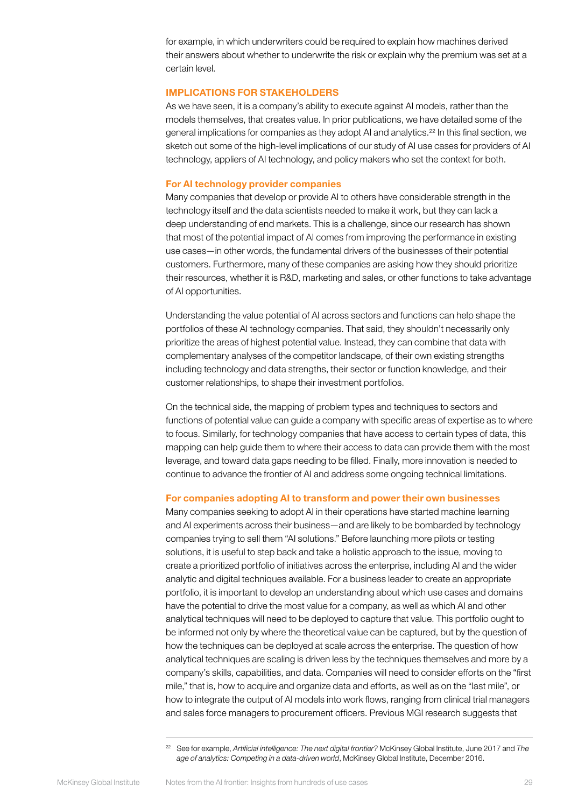for example, in which underwriters could be required to explain how machines derived their answers about whether to underwrite the risk or explain why the premium was set at a certain level.

#### IMPLICATIONS FOR STAKEHOLDERS

As we have seen, it is a company's ability to execute against AI models, rather than the models themselves, that creates value. In prior publications, we have detailed some of the general implications for companies as they adopt AI and analytics.22 In this final section, we sketch out some of the high-level implications of our study of AI use cases for providers of AI technology, appliers of AI technology, and policy makers who set the context for both.

#### For AI technology provider companies

Many companies that develop or provide AI to others have considerable strength in the technology itself and the data scientists needed to make it work, but they can lack a deep understanding of end markets. This is a challenge, since our research has shown that most of the potential impact of AI comes from improving the performance in existing use cases—in other words, the fundamental drivers of the businesses of their potential customers. Furthermore, many of these companies are asking how they should prioritize their resources, whether it is R&D, marketing and sales, or other functions to take advantage of AI opportunities.

Understanding the value potential of AI across sectors and functions can help shape the portfolios of these AI technology companies. That said, they shouldn't necessarily only prioritize the areas of highest potential value. Instead, they can combine that data with complementary analyses of the competitor landscape, of their own existing strengths including technology and data strengths, their sector or function knowledge, and their customer relationships, to shape their investment portfolios.

On the technical side, the mapping of problem types and techniques to sectors and functions of potential value can guide a company with specific areas of expertise as to where to focus. Similarly, for technology companies that have access to certain types of data, this mapping can help guide them to where their access to data can provide them with the most leverage, and toward data gaps needing to be filled. Finally, more innovation is needed to continue to advance the frontier of AI and address some ongoing technical limitations.

#### For companies adopting AI to transform and power their own businesses

Many companies seeking to adopt AI in their operations have started machine learning and AI experiments across their business—and are likely to be bombarded by technology companies trying to sell them "AI solutions." Before launching more pilots or testing solutions, it is useful to step back and take a holistic approach to the issue, moving to create a prioritized portfolio of initiatives across the enterprise, including AI and the wider analytic and digital techniques available. For a business leader to create an appropriate portfolio, it is important to develop an understanding about which use cases and domains have the potential to drive the most value for a company, as well as which AI and other analytical techniques will need to be deployed to capture that value. This portfolio ought to be informed not only by where the theoretical value can be captured, but by the question of how the techniques can be deployed at scale across the enterprise. The question of how analytical techniques are scaling is driven less by the techniques themselves and more by a company's skills, capabilities, and data. Companies will need to consider efforts on the "first mile," that is, how to acquire and organize data and efforts, as well as on the "last mile", or how to integrate the output of AI models into work flows, ranging from clinical trial managers and sales force managers to procurement officers. Previous MGI research suggests that

<sup>22</sup> See for example, *Artificial intelligence: The next digital frontier?* McKinsey Global Institute, June 2017 and *The age of analytics: Competing in a data-driven world*, McKinsey Global Institute, December 2016.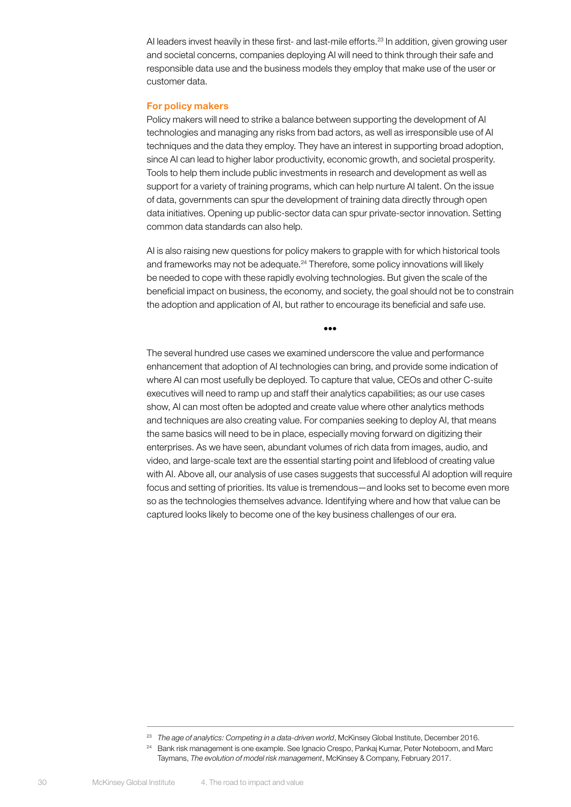AI leaders invest heavily in these first- and last-mile efforts.<sup>23</sup> In addition, given growing user and societal concerns, companies deploying AI will need to think through their safe and responsible data use and the business models they employ that make use of the user or customer data.

#### For policy makers

Policy makers will need to strike a balance between supporting the development of AI technologies and managing any risks from bad actors, as well as irresponsible use of AI techniques and the data they employ. They have an interest in supporting broad adoption, since AI can lead to higher labor productivity, economic growth, and societal prosperity. Tools to help them include public investments in research and development as well as support for a variety of training programs, which can help nurture AI talent. On the issue of data, governments can spur the development of training data directly through open data initiatives. Opening up public-sector data can spur private-sector innovation. Setting common data standards can also help.

AI is also raising new questions for policy makers to grapple with for which historical tools and frameworks may not be adequate.<sup>24</sup> Therefore, some policy innovations will likely be needed to cope with these rapidly evolving technologies. But given the scale of the beneficial impact on business, the economy, and society, the goal should not be to constrain the adoption and application of AI, but rather to encourage its beneficial and safe use.

•••

The several hundred use cases we examined underscore the value and performance enhancement that adoption of AI technologies can bring, and provide some indication of where AI can most usefully be deployed. To capture that value, CEOs and other C-suite executives will need to ramp up and staff their analytics capabilities; as our use cases show, AI can most often be adopted and create value where other analytics methods and techniques are also creating value. For companies seeking to deploy AI, that means the same basics will need to be in place, especially moving forward on digitizing their enterprises. As we have seen, abundant volumes of rich data from images, audio, and video, and large-scale text are the essential starting point and lifeblood of creating value with AI. Above all, our analysis of use cases suggests that successful AI adoption will require focus and setting of priorities. Its value is tremendous—and looks set to become even more so as the technologies themselves advance. Identifying where and how that value can be captured looks likely to become one of the key business challenges of our era.

<sup>23</sup> *The age of analytics: Competing in a data-driven world*, McKinsey Global Institute, December 2016.

<sup>&</sup>lt;sup>24</sup> Bank risk management is one example. See Ignacio Crespo, Pankai Kumar, Peter Noteboom, and Marc Taymans, *The evolution of model risk management*, McKinsey & Company, February 2017.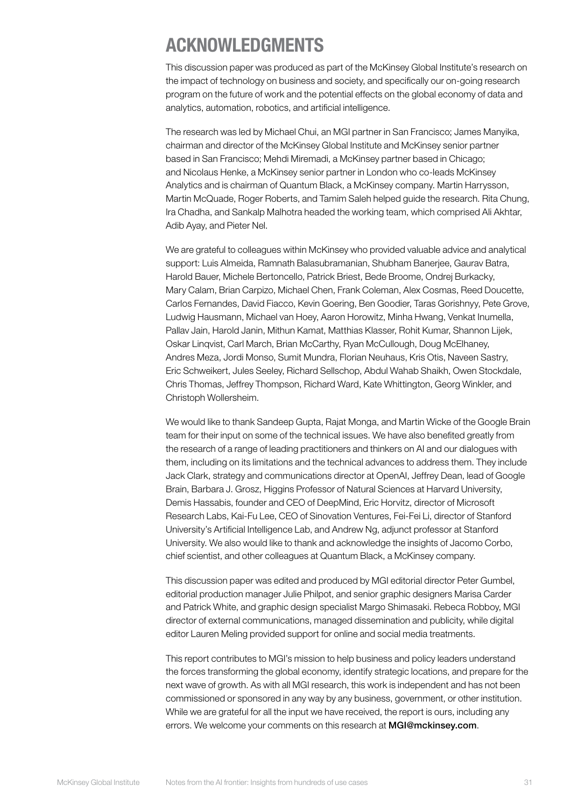# <span id="page-34-0"></span>ACKNOWLEDGMENTS

This discussion paper was produced as part of the McKinsey Global Institute's research on the impact of technology on business and society, and specifically our on-going research program on the future of work and the potential effects on the global economy of data and analytics, automation, robotics, and artificial intelligence.

The research was led by Michael Chui, an MGI partner in San Francisco; James Manyika, chairman and director of the McKinsey Global Institute and McKinsey senior partner based in San Francisco; Mehdi Miremadi, a McKinsey partner based in Chicago; and Nicolaus Henke, a McKinsey senior partner in London who co-leads McKinsey Analytics and is chairman of Quantum Black, a McKinsey company. Martin Harrysson, Martin McQuade, Roger Roberts, and Tamim Saleh helped guide the research. Rita Chung, Ira Chadha, and Sankalp Malhotra headed the working team, which comprised Ali Akhtar, Adib Ayay, and Pieter Nel.

We are grateful to colleagues within McKinsey who provided valuable advice and analytical support: Luis Almeida, Ramnath Balasubramanian, Shubham Banerjee, Gaurav Batra, Harold Bauer, Michele Bertoncello, Patrick Briest, Bede Broome, Ondrej Burkacky, Mary Calam, Brian Carpizo, Michael Chen, Frank Coleman, Alex Cosmas, Reed Doucette, Carlos Fernandes, David Fiacco, Kevin Goering, Ben Goodier, Taras Gorishnyy, Pete Grove, Ludwig Hausmann, Michael van Hoey, Aaron Horowitz, Minha Hwang, Venkat Inumella, Pallav Jain, Harold Janin, Mithun Kamat, Matthias Klasser, Rohit Kumar, Shannon Lijek, Oskar Linqvist, Carl March, Brian McCarthy, Ryan McCullough, Doug McElhaney, Andres Meza, Jordi Monso, Sumit Mundra, Florian Neuhaus, Kris Otis, Naveen Sastry, Eric Schweikert, Jules Seeley, Richard Sellschop, Abdul Wahab Shaikh, Owen Stockdale, Chris Thomas, Jeffrey Thompson, Richard Ward, Kate Whittington, Georg Winkler, and Christoph Wollersheim.

We would like to thank Sandeep Gupta, Rajat Monga, and Martin Wicke of the Google Brain team for their input on some of the technical issues. We have also benefited greatly from the research of a range of leading practitioners and thinkers on AI and our dialogues with them, including on its limitations and the technical advances to address them. They include Jack Clark, strategy and communications director at OpenAI, Jeffrey Dean, lead of Google Brain, Barbara J. Grosz, Higgins Professor of Natural Sciences at Harvard University, Demis Hassabis, founder and CEO of DeepMind, Eric Horvitz, director of Microsoft Research Labs, Kai-Fu Lee, CEO of Sinovation Ventures, Fei-Fei Li, director of Stanford University's Artificial Intelligence Lab, and Andrew Ng, adjunct professor at Stanford University. We also would like to thank and acknowledge the insights of Jacomo Corbo, chief scientist, and other colleagues at Quantum Black, a McKinsey company.

This discussion paper was edited and produced by MGI editorial director Peter Gumbel, editorial production manager Julie Philpot, and senior graphic designers Marisa Carder and Patrick White, and graphic design specialist Margo Shimasaki. Rebeca Robboy, MGI director of external communications, managed dissemination and publicity, while digital editor Lauren Meling provided support for online and social media treatments.

This report contributes to MGI's mission to help business and policy leaders understand the forces transforming the global economy, identify strategic locations, and prepare for the next wave of growth. As with all MGI research, this work is independent and has not been commissioned or sponsored in any way by any business, government, or other institution. While we are grateful for all the input we have received, the report is ours, including any errors. We welcome your comments on this research at [MGI@mckinsey.com](mailto:MGI%40mckinsey.com?subject=).